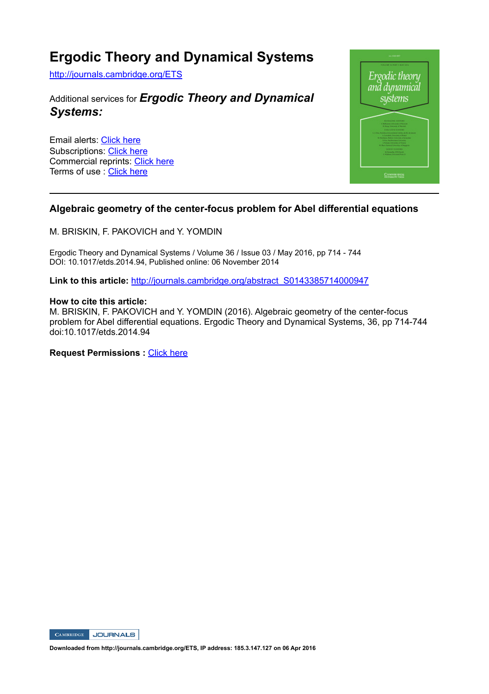## **Ergodic Theory and Dynamical Systems**

http://journals.cambridge.org/ETS

### Additional services for *Ergodic Theory and Dynamical Systems:*

Email alerts: Click here Subscriptions: Click here Commercial reprints: Click here Terms of use : Click here



#### **Algebraic geometry of the center-focus problem for Abel differential equations**

M. BRISKIN, F. PAKOVICH and Y. YOMDIN

Ergodic Theory and Dynamical Systems / Volume 36 / Issue 03 / May 2016, pp 714 - 744 DOI: 10.1017/etds.2014.94, Published online: 06 November 2014

Link to this article: http://journals.cambridge.org/abstract\_S0143385714000947

#### **How to cite this article:**

M. BRISKIN, F. PAKOVICH and Y. YOMDIN (2016). Algebraic geometry of the center-focus problem for Abel differential equations. Ergodic Theory and Dynamical Systems, 36, pp 714-744 doi:10.1017/etds.2014.94

**Request Permissions : Click here** 



**Downloaded from http://journals.cambridge.org/ETS, IP address: 185.3.147.127 on 06 Apr 2016**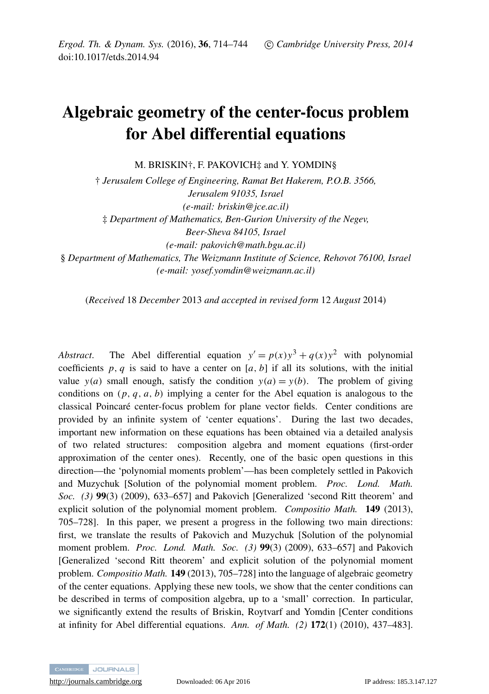# Algebraic geometry of the center-focus problem for Abel differential equations

M. BRISKIN†, F. PAKOVICH‡ and Y. YOMDIN§

† *Jerusalem College of Engineering, Ramat Bet Hakerem, P.O.B. 3566, Jerusalem 91035, Israel (e-mail: briskin@jce.ac.il)* ‡ *Department of Mathematics, Ben-Gurion University of the Negev, Beer-Sheva 84105, Israel (e-mail: pakovich@math.bgu.ac.il)* § *Department of Mathematics, The Weizmann Institute of Science, Rehovot 76100, Israel (e-mail: yosef.yomdin@weizmann.ac.il)*

(*Received* 18 *December* 2013 *and accepted in revised form* 12 *August* 2014)

Abstract. The Abel differential equation  $y' = p(x)y^3 + q(x)y^2$  with polynomial coefficients  $p, q$  is said to have a center on  $[a, b]$  if all its solutions, with the initial value  $y(a)$  small enough, satisfy the condition  $y(a) = y(b)$ . The problem of giving conditions on  $(p, q, a, b)$  implying a center for the Abel equation is analogous to the classical Poincare center-focus problem for plane vector fields. Center conditions are ´ provided by an infinite system of 'center equations'. During the last two decades, important new information on these equations has been obtained via a detailed analysis of two related structures: composition algebra and moment equations (first-order approximation of the center ones). Recently, one of the basic open questions in this direction—the 'polynomial moments problem'—has been completely settled in Pakovich and Muzychuk [Solution of the polynomial moment problem. *Proc. Lond. Math. Soc. (3)* 99(3) (2009), 633–657] and Pakovich [Generalized 'second Ritt theorem' and explicit solution of the polynomial moment problem. *Compositio Math.* 149 (2013), 705–728]. In this paper, we present a progress in the following two main directions: first, we translate the results of Pakovich and Muzychuk [Solution of the polynomial moment problem. *Proc. Lond. Math. Soc. (3)* 99(3) (2009), 633–657] and Pakovich [Generalized 'second Ritt theorem' and explicit solution of the polynomial moment problem. *Compositio Math.* 149 (2013), 705–728] into the language of algebraic geometry of the center equations. Applying these new tools, we show that the center conditions can be described in terms of composition algebra, up to a 'small' correction. In particular, we significantly extend the results of Briskin, Roytvarf and Yomdin [Center conditions at infinity for Abel differential equations. *Ann. of Math. (2)* 172(1) (2010), 437–483].

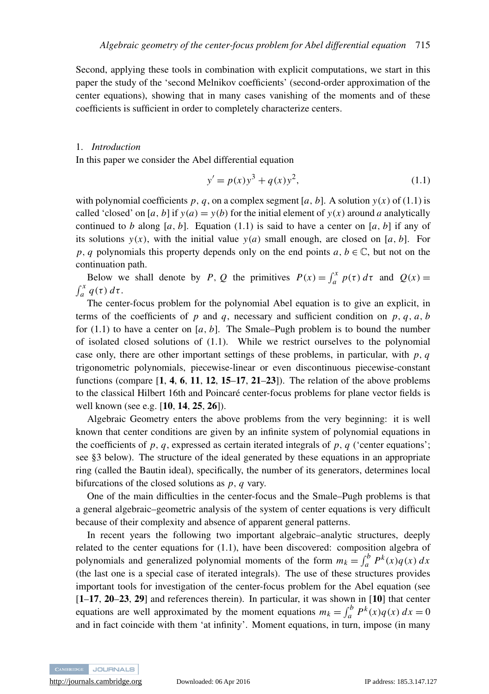Second, applying these tools in combination with explicit computations, we start in this paper the study of the 'second Melnikov coefficients' (second-order approximation of the center equations), showing that in many cases vanishing of the moments and of these coefficients is sufficient in order to completely characterize centers.

#### 1. *Introduction*

In this paper we consider the Abel differential equation

<span id="page-2-0"></span>
$$
y' = p(x)y^{3} + q(x)y^{2},
$$
\n(1.1)

with polynomial coefficients  $p$ ,  $q$ , on a complex segment [ $a$ ,  $b$ ]. A solution  $y(x)$  of [\(1.1\)](#page-2-0) is called 'closed' on [*a*, *b*] if  $y(a) = y(b)$  for the initial element of  $y(x)$  around *a* analytically continued to *b* along [*a*, *b*]. Equation [\(1.1\)](#page-2-0) is said to have a center on [*a*, *b*] if any of its solutions  $y(x)$ , with the initial value  $y(a)$  small enough, are closed on [a, b]. For *p*, *q* polynomials this property depends only on the end points *a*, *b* ∈  $\mathbb{C}$ , but not on the continuation path.

Below we shall denote by *P*, *Q* the primitives  $P(x) = \int_a^x p(\tau) d\tau$  and  $Q(x) =$  $\int_a^x q(\tau) d\tau.$ 

The center-focus problem for the polynomial Abel equation is to give an explicit, in terms of the coefficients of *p* and *q*, necessary and sufficient condition on *p*, *q*, *a*, *b* for  $(1.1)$  to have a center on  $[a, b]$ . The Smale–Pugh problem is to bound the number of isolated closed solutions of [\(1.1\)](#page-2-0). While we restrict ourselves to the polynomial case only, there are other important settings of these problems, in particular, with  $p$ ,  $q$ trigonometric polynomials, piecewise-linear or even discontinuous piecewise-constant functions (compare  $\left[1, 4, 6, 11, 12, 15-17, 21-23\right]$  $\left[1, 4, 6, 11, 12, 15-17, 21-23\right]$  $\left[1, 4, 6, 11, 12, 15-17, 21-23\right]$  $\left[1, 4, 6, 11, 12, 15-17, 21-23\right]$  $\left[1, 4, 6, 11, 12, 15-17, 21-23\right]$  $\left[1, 4, 6, 11, 12, 15-17, 21-23\right]$  $\left[1, 4, 6, 11, 12, 15-17, 21-23\right]$  $\left[1, 4, 6, 11, 12, 15-17, 21-23\right]$  $\left[1, 4, 6, 11, 12, 15-17, 21-23\right]$  $\left[1, 4, 6, 11, 12, 15-17, 21-23\right]$  $\left[1, 4, 6, 11, 12, 15-17, 21-23\right]$  $\left[1, 4, 6, 11, 12, 15-17, 21-23\right]$  $\left[1, 4, 6, 11, 12, 15-17, 21-23\right]$  $\left[1, 4, 6, 11, 12, 15-17, 21-23\right]$  $\left[1, 4, 6, 11, 12, 15-17, 21-23\right]$  $\left[1, 4, 6, 11, 12, 15-17, 21-23\right]$  $\left[1, 4, 6, 11, 12, 15-17, 21-23\right]$  $\left[1, 4, 6, 11, 12, 15-17, 21-23\right]$  $\left[1, 4, 6, 11, 12, 15-17, 21-23\right]$ ). The relation of the above problems to the classical Hilbert 16th and Poincaré center-focus problems for plane vector fields is well known (see e.g. [[10](#page-30-9), [14](#page-30-10), [25](#page-30-11), [26](#page-30-12)]).

Algebraic Geometry enters the above problems from the very beginning: it is well known that center conditions are given by an infinite system of polynomial equations in the coefficients of  $p$ ,  $q$ , expressed as certain iterated integrals of  $p$ ,  $q$  ('center equations'; see [§3](#page-8-0) below). The structure of the ideal generated by these equations in an appropriate ring (called the Bautin ideal), specifically, the number of its generators, determines local bifurcations of the closed solutions as *p*, *q* vary.

One of the main difficulties in the center-focus and the Smale–Pugh problems is that a general algebraic–geometric analysis of the system of center equations is very difficult because of their complexity and absence of apparent general patterns.

In recent years the following two important algebraic–analytic structures, deeply related to the center equations for [\(1.1\)](#page-2-0), have been discovered: composition algebra of polynomials and generalized polynomial moments of the form  $m_k = \int_a^b P^k(x)q(x) dx$ (the last one is a special case of iterated integrals). The use of these structures provides important tools for investigation of the center-focus problem for the Abel equation (see [[1](#page-30-0)–[17](#page-30-6), [20](#page-30-13)–[23](#page-30-8), [29](#page-30-14)] and references therein). In particular, it was shown in [[10](#page-30-9)] that center equations are well approximated by the moment equations  $m_k = \int_a^b P^k(x)q(x) dx = 0$ and in fact coincide with them 'at infinity'. Moment equations, in turn, impose (in many

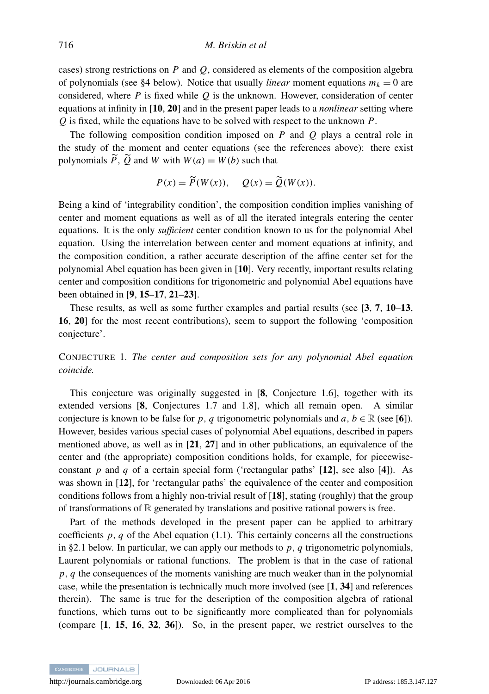cases) strong restrictions on *P* and *Q*, considered as elements of the composition algebra of polynomials (see [§4](#page-14-0) below). Notice that usually *linear* moment equations  $m_k = 0$  are considered, where *P* is fixed while *Q* is the unknown. However, consideration of center equations at infinity in [[10](#page-30-9), [20](#page-30-13)] and in the present paper leads to a *nonlinear* setting where *Q* is fixed, while the equations have to be solved with respect to the unknown *P*.

The following composition condition imposed on *P* and *Q* plays a central role in the study of the moment and center equations (see the references above): there exist polynomials  $\widetilde{P}$ ,  $\widetilde{O}$  and *W* with  $W(a) = W(b)$  such that

$$
P(x) = \widetilde{P}(W(x)), \quad Q(x) = \widetilde{Q}(W(x)).
$$

Being a kind of 'integrability condition', the composition condition implies vanishing of center and moment equations as well as of all the iterated integrals entering the center equations. It is the only *sufficient* center condition known to us for the polynomial Abel equation. Using the interrelation between center and moment equations at infinity, and the composition condition, a rather accurate description of the affine center set for the polynomial Abel equation has been given in [[10](#page-30-9)]. Very recently, important results relating center and composition conditions for trigonometric and polynomial Abel equations have been obtained in [[9](#page-30-15), [15](#page-30-5)–[17](#page-30-6), [21](#page-30-7)–[23](#page-30-8)].

These results, as well as some further examples and partial results (see [[3](#page-30-16), [7](#page-30-17), [10](#page-30-9)–[13](#page-30-18), [16](#page-30-19), [20](#page-30-13)] for the most recent contributions), seem to support the following 'composition conjecture'.

CONJECTURE 1. *The center and composition sets for any polynomial Abel equation coincide.*

This conjecture was originally suggested in [[8](#page-30-20), Conjecture 1.6], together with its extended versions [[8](#page-30-20), Conjectures 1.7 and 1.8], which all remain open. A similar conjecture is known to be false for *p*, *q* trigonometric polynomials and *a*, *b* ∈ R (see [[6](#page-30-2)]). However, besides various special cases of polynomial Abel equations, described in papers mentioned above, as well as in  $[21, 27]$  $[21, 27]$  $[21, 27]$  $[21, 27]$  $[21, 27]$  and in other publications, an equivalence of the center and (the appropriate) composition conditions holds, for example, for piecewiseconstant  $p$  and  $q$  of a certain special form ('rectangular paths' [[12](#page-30-4)], see also [[4](#page-30-1)]). As was shown in [[12](#page-30-4)], for 'rectangular paths' the equivalence of the center and composition conditions follows from a highly non-trivial result of [[18](#page-30-22)], stating (roughly) that the group of transformations of  $\mathbb R$  generated by translations and positive rational powers is free.

Part of the methods developed in the present paper can be applied to arbitrary coefficients  $p, q$  of the Abel equation [\(1.1\)](#page-2-0). This certainly concerns all the constructions in [§2.1](#page-6-0) below. In particular, we can apply our methods to *p*, *q* trigonometric polynomials, Laurent polynomials or rational functions. The problem is that in the case of rational *p*, *q* the consequences of the moments vanishing are much weaker than in the polynomial case, while the presentation is technically much more involved (see [[1](#page-30-0), [34](#page-31-0)] and references therein). The same is true for the description of the composition algebra of rational functions, which turns out to be significantly more complicated than for polynomials (compare [[1](#page-30-0), [15](#page-30-5), [16](#page-30-19), [32](#page-31-1), [36](#page-31-2)]). So, in the present paper, we restrict ourselves to the

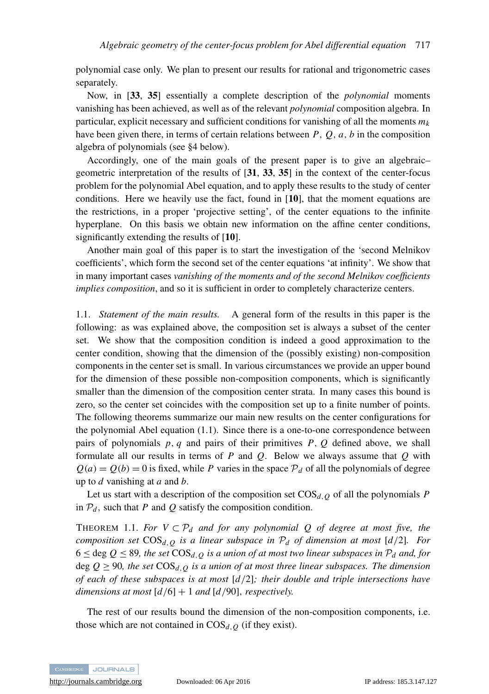polynomial case only. We plan to present our results for rational and trigonometric cases separately.

Now, in [[33](#page-31-3), [35](#page-31-4)] essentially a complete description of the *polynomial* moments vanishing has been achieved, as well as of the relevant *polynomial* composition algebra. In particular, explicit necessary and sufficient conditions for vanishing of all the moments  $m_k$ have been given there, in terms of certain relations between *P*, *Q*, *a*, *b* in the composition algebra of polynomials (see [§4](#page-14-0) below).

Accordingly, one of the main goals of the present paper is to give an algebraic– geometric interpretation of the results of [[31](#page-31-5), [33](#page-31-3), [35](#page-31-4)] in the context of the center-focus problem for the polynomial Abel equation, and to apply these results to the study of center conditions. Here we heavily use the fact, found in  $[10]$  $[10]$  $[10]$ , that the moment equations are the restrictions, in a proper 'projective setting', of the center equations to the infinite hyperplane. On this basis we obtain new information on the affine center conditions, significantly extending the results of [[10](#page-30-9)].

Another main goal of this paper is to start the investigation of the 'second Melnikov coefficients', which form the second set of the center equations 'at infinity'. We show that in many important cases *vanishing of the moments and of the second Melnikov coefficients implies composition*, and so it is sufficient in order to completely characterize centers.

1.1. *Statement of the main results.* A general form of the results in this paper is the following: as was explained above, the composition set is always a subset of the center set. We show that the composition condition is indeed a good approximation to the center condition, showing that the dimension of the (possibly existing) non-composition components in the center set is small. In various circumstances we provide an upper bound for the dimension of these possible non-composition components, which is significantly smaller than the dimension of the composition center strata. In many cases this bound is zero, so the center set coincides with the composition set up to a finite number of points. The following theorems summarize our main new results on the center configurations for the polynomial Abel equation [\(1.1\)](#page-2-0). Since there is a one-to-one correspondence between pairs of polynomials *p*, *q* and pairs of their primitives *P*, *Q* defined above, we shall formulate all our results in terms of *P* and *Q*. Below we always assume that *Q* with  $Q(a) = Q(b) = 0$  is fixed, while *P* varies in the space  $P_d$  of all the polynomials of degree up to *d* vanishing at *a* and *b*.

Let us start with a description of the composition set  $\cos_{d,0}$  of all the polynomials *P* in  $P_d$ , such that *P* and *Q* satisfy the composition condition.

THEOREM 1.1. *For*  $V \subset P_d$  *and for any polynomial Q of degree at most five, the composition set*  $\text{COS}_{d,Q}$  *is a linear subspace in*  $\mathcal{P}_d$  *of dimension at most* [ $d/2$ ]*. For*  $6 \le \text{deg } Q \le 89$ , the set  $\text{COS}_{d,Q}$  is a union of at most two linear subspaces in  $\mathcal{P}_d$  and, for deg  $Q \geq 90$ , the set  $\text{COS}_{d, Q}$  is a union of at most three linear subspaces. The dimension *of each of these subspaces is at most* [*d*/2]*; their double and triple intersections have dimensions at most* [*d*/6] + 1 *and* [*d*/90], *respectively.*

The rest of our results bound the dimension of the non-composition components, i.e. those which are not contained in  $\cos_{d,0}$  (if they exist).

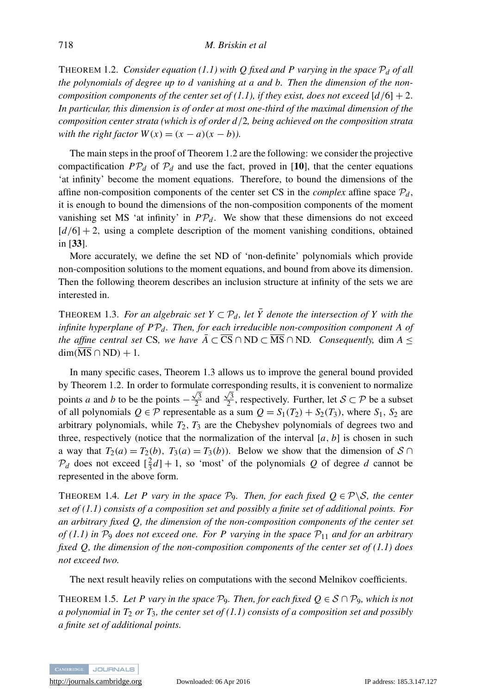<span id="page-5-0"></span>THEOREM 1.2. *Consider equation* [\(1.1\)](#page-2-0) with Q fixed and P varying in the space  $P_d$  of all *the polynomials of degree up to d vanishing at a and b. Then the dimension of the non-composition components of the center set of [\(1.1\)](#page-2-0), if they exist, does not exceed*  $\left[ d/6 \right] + 2$ . *In particular, this dimension is of order at most one-third of the maximal dimension of the composition center strata (which is of order d*/2*, being achieved on the composition strata with the right factor*  $W(x) = (x - a)(x - b)$ .

The main steps in the proof of Theorem [1.2](#page-5-0) are the following: we consider the projective compactification  $PP_d$  of  $P_d$  and use the fact, proved in [[10](#page-30-9)], that the center equations 'at infinity' become the moment equations. Therefore, to bound the dimensions of the affine non-composition components of the center set CS in the *complex* affine space  $P_d$ , it is enough to bound the dimensions of the non-composition components of the moment vanishing set MS 'at infinity' in  $PP_d$ . We show that these dimensions do not exceed  $[d/6] + 2$ , using a complete description of the moment vanishing conditions, obtained in [[33](#page-31-3)].

More accurately, we define the set ND of 'non-definite' polynomials which provide non-composition solutions to the moment equations, and bound from above its dimension. Then the following theorem describes an inclusion structure at infinity of the sets we are interested in.

<span id="page-5-1"></span>THEOREM 1.3. *For an algebraic set*  $Y \subset \mathcal{P}_d$ , let  $\overline{Y}$  denote the intersection of Y with the *infinite hyperplane of P*P*<sup>d</sup> . Then, for each irreducible non-composition component A of the affine central set* CS, we have  $\overline{A} \subset \overline{\text{CS}} \cap \text{ND} \subset \overline{\text{MS}} \cap \text{ND}$ . Consequently, dim A <  $\dim(\overline{\text{MS}} \cap \text{ND}) + 1$ .

In many specific cases, Theorem [1.3](#page-5-1) allows us to improve the general bound provided by Theorem [1.2.](#page-5-0) In order to formulate corresponding results, it is convenient to normalize points *a* and *b* to be the points  $-\frac{\sqrt{3}}{2}$  and  $\frac{\sqrt{3}}{2}$ , respectively. Further, let  $S \subset \mathcal{P}$  be a subset of all polynomials  $Q \in \mathcal{P}$  representable as a sum  $Q = S_1(T_2) + S_2(T_3)$ , where  $S_1$ ,  $S_2$  are arbitrary polynomials, while  $T_2$ ,  $T_3$  are the Chebyshev polynomials of degrees two and three, respectively (notice that the normalization of the interval  $[a, b]$  is chosen in such a way that  $T_2(a) = T_2(b)$ ,  $T_3(a) = T_3(b)$ ). Below we show that the dimension of  $S \cap$  $\mathcal{P}_d$  does not exceed  $\left[\frac{2}{3}d\right] + 1$ , so 'most' of the polynomials *Q* of degree *d* cannot be represented in the above form.

THEOREM 1.4. Let P vary in the space  $\mathcal{P}_9$ . Then, for each fixed  $Q \in \mathcal{P} \backslash \mathcal{S}$ , the center *set of [\(1.1\)](#page-2-0) consists of a composition set and possibly a finite set of additional points. For an arbitrary fixed Q, the dimension of the non-composition components of the center set of* [\(1.1\)](#page-2-0) in  $\mathcal{P}_9$  *does not exceed one. For P varying in the space*  $\mathcal{P}_{11}$  *and for an arbitrary fixed Q, the dimension of the non-composition components of the center set of [\(1.1\)](#page-2-0) does not exceed two.*

The next result heavily relies on computations with the second Melnikov coefficients.

THEOREM 1.5. Let P vary in the space  $\mathcal{P}_9$ . Then, for each fixed  $Q \in \mathcal{S} \cap \mathcal{P}_9$ , which is not *a polynomial in T*<sub>2</sub> *or T*<sub>3</sub>*, the center set of [\(1.1\)](#page-2-0) consists of a composition set and possibly a finite set of additional points.*

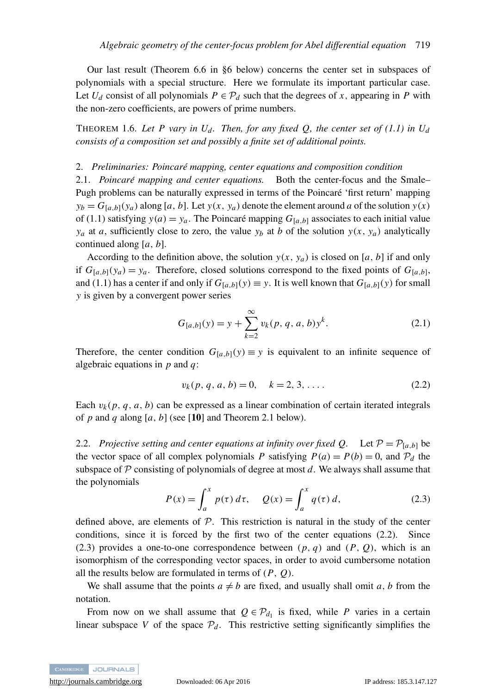Our last result (Theorem [6.6](#page-29-0) in [§6](#page-23-0) below) concerns the center set in subspaces of polynomials with a special structure. Here we formulate its important particular case. Let  $U_d$  consist of all polynomials  $P \in \mathcal{P}_d$  such that the degrees of *x*, appearing in *P* with the non-zero coefficients, are powers of prime numbers.

<span id="page-6-3"></span>THEOREM 1.6. Let P vary in  $U_d$ . Then, for any fixed Q, the center set of [\(1.1\)](#page-2-0) in  $U_d$ *consists of a composition set and possibly a finite set of additional points.*

#### 2. *Preliminaries: Poincare mapping, center equations and composition condition ´*

<span id="page-6-0"></span>2.1. *Poincaré mapping and center equations*. Both the center-focus and the Smale– Pugh problems can be naturally expressed in terms of the Poincaré 'first return' mapping  $y_b = G_{[a,b]}(y_a)$  along [*a*, *b*]. Let  $y(x, y_a)$  denote the element around *a* of the solution  $y(x)$ of [\(1.1\)](#page-2-0) satisfying  $y(a) = y_a$ . The Poincaré mapping  $G_{[a,b]}$  associates to each initial value *y<sub>a</sub>* at *a*, sufficiently close to zero, the value *y<sub>b</sub>* at *b* of the solution  $y(x, y_a)$  analytically continued along [*a*, *b*].

According to the definition above, the solution  $y(x, y_a)$  is closed on [*a*, *b*] if and only if  $G_{[a,b]}(y_a) = y_a$ . Therefore, closed solutions correspond to the fixed points of  $G_{[a,b]}$ , and [\(1.1\)](#page-2-0) has a center if and only if  $G_{[a,b]}(y) \equiv y$ . It is well known that  $G_{[a,b]}(y)$  for small *y* is given by a convergent power series

$$
G_{[a,b]}(y) = y + \sum_{k=2}^{\infty} v_k(p, q, a, b) y^k.
$$
 (2.1)

Therefore, the center condition  $G_{[a,b]}(y) \equiv y$  is equivalent to an infinite sequence of algebraic equations in *p* and *q*:

<span id="page-6-1"></span>
$$
v_k(p, q, a, b) = 0, \quad k = 2, 3, \dots
$$
 (2.2)

Each  $v_k(p, q, a, b)$  can be expressed as a linear combination of certain iterated integrals of *p* and *q* along  $[a, b]$  (see [[10](#page-30-9)] and Theorem [2.1](#page-7-0) below).

2.2. *Projective setting and center equations at infinity over fixed Q.* Let  $P = P_{[a,b]}$  be the vector space of all complex polynomials *P* satisfying  $P(a) = P(b) = 0$ , and  $P<sub>d</sub>$  the subspace of  $P$  consisting of polynomials of degree at most  $d$ . We always shall assume that the polynomials

<span id="page-6-2"></span>
$$
P(x) = \int_{a}^{x} p(\tau) d\tau, \quad Q(x) = \int_{a}^{x} q(\tau) d,
$$
 (2.3)

defined above, are elements of  $P$ . This restriction is natural in the study of the center conditions, since it is forced by the first two of the center equations [\(2.2\)](#page-6-1). Since [\(2.3\)](#page-6-2) provides a one-to-one correspondence between  $(p, q)$  and  $(P, Q)$ , which is an isomorphism of the corresponding vector spaces, in order to avoid cumbersome notation all the results below are formulated in terms of (*P*, *Q*).

We shall assume that the points  $a \neq b$  are fixed, and usually shall omit *a*, *b* from the notation.

From now on we shall assume that  $Q \in \mathcal{P}_{d_1}$  is fixed, while *P* varies in a certain linear subspace *V* of the space  $P_d$ . This restrictive setting significantly simplifies the

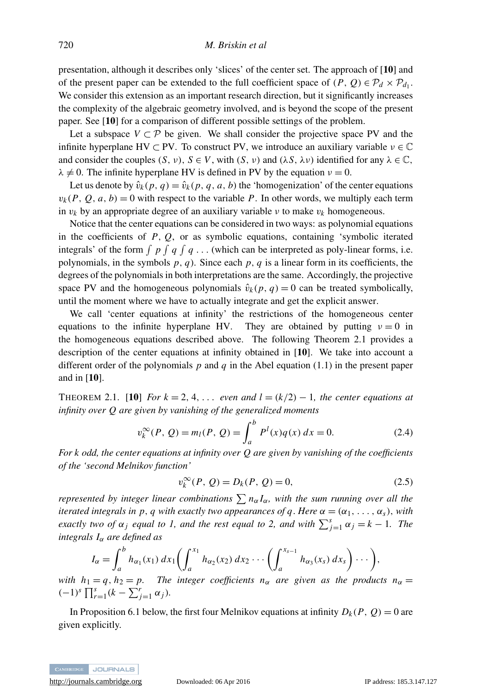presentation, although it describes only 'slices' of the center set. The approach of [[10](#page-30-9)] and of the present paper can be extended to the full coefficient space of  $(P, Q) \in \mathcal{P}_d \times \mathcal{P}_{d_1}$ . We consider this extension as an important research direction, but it significantly increases the complexity of the algebraic geometry involved, and is beyond the scope of the present paper. See [[10](#page-30-9)] for a comparison of different possible settings of the problem.

Let a subspace  $V \subset \mathcal{P}$  be given. We shall consider the projective space PV and the infinite hyperplane HV  $\subset$  PV. To construct PV, we introduce an auxiliary variable  $v \in \mathbb{C}$ and consider the couples  $(S, v)$ ,  $S \in V$ , with  $(S, v)$  and  $(\lambda S, \lambda v)$  identified for any  $\lambda \in \mathbb{C}$ ,  $\lambda \neq 0$ . The infinite hyperplane HV is defined in PV by the equation  $\nu = 0$ .

Let us denote by  $\hat{v}_k(p, q) = \hat{v}_k(p, q, a, b)$  the 'homogenization' of the center equations  $v_k(P, Q, a, b) = 0$  with respect to the variable *P*. In other words, we multiply each term in  $v_k$  by an appropriate degree of an auxiliary variable  $v_k$  to make  $v_k$  homogeneous.

Notice that the center equations can be considered in two ways: as polynomial equations in the coefficients of *P*, *Q*, or as symbolic equations, containing 'symbolic iterated integrals' of the form  $\int p \int q \int q \dots$  (which can be interpreted as poly-linear forms, i.e. polynomials, in the symbols  $p$ ,  $q$ ). Since each  $p$ ,  $q$  is a linear form in its coefficients, the degrees of the polynomials in both interpretations are the same. Accordingly, the projective space PV and the homogeneous polynomials  $\hat{v}_k(p, q) = 0$  can be treated symbolically, until the moment where we have to actually integrate and get the explicit answer.

We call 'center equations at infinity' the restrictions of the homogeneous center equations to the infinite hyperplane HV. They are obtained by putting  $v = 0$  in the homogeneous equations described above. The following Theorem [2.1](#page-7-0) provides a description of the center equations at infinity obtained in [[10](#page-30-9)]. We take into account a different order of the polynomials *p* and *q* in the Abel equation [\(1.1\)](#page-2-0) in the present paper and in [[10](#page-30-9)].

<span id="page-7-0"></span>THEOREM 2.1. [[10](#page-30-9)] *For*  $k = 2, 4, \ldots$  *even and*  $l = (k/2) - 1$ *, the center equations at infinity over Q are given by vanishing of the generalized moments*

<span id="page-7-1"></span>
$$
v_k^{\infty}(P, Q) = m_l(P, Q) = \int_a^b P^l(x) q(x) dx = 0.
$$
 (2.4)

*For k odd, the center equations at infinity over Q are given by vanishing of the coefficients of the 'second Melnikov function'*

$$
v_k^{\infty}(P, Q) = D_k(P, Q) = 0,
$$
\n(2.5)

*represented by integer linear combinations*  $\sum n_{\alpha} I_{\alpha}$ *, with the sum running over all the iterated integrals in p, q with exactly two appearances of q. Here*  $\alpha = (\alpha_1, \ldots, \alpha_s)$ , *with exactly two of*  $\alpha_j$  *equal to 1, and the rest equal to 2, and with*  $\sum_{j=1}^s \alpha_j = k - 1$ *. The integrals I*<sup>α</sup> *are defined as*

$$
I_{\alpha} = \int_{a}^{b} h_{\alpha_1}(x_1) dx_1 \bigg( \int_{a}^{x_1} h_{\alpha_2}(x_2) dx_2 \cdots \bigg( \int_{a}^{x_{s-1}} h_{\alpha_3}(x_s) dx_s \bigg) \cdots \bigg),
$$

*with*  $h_1 = q$ ,  $h_2 = p$ . *The integer coefficients*  $n_\alpha$  *are given as the products*  $n_\alpha =$  $(-1)^s \prod_{r=1}^s (k - \sum_{j=1}^r \alpha_j).$ 

In Proposition [6.1](#page-25-0) below, the first four Melnikov equations at infinity  $D_k(P, Q) = 0$  are given explicitly.

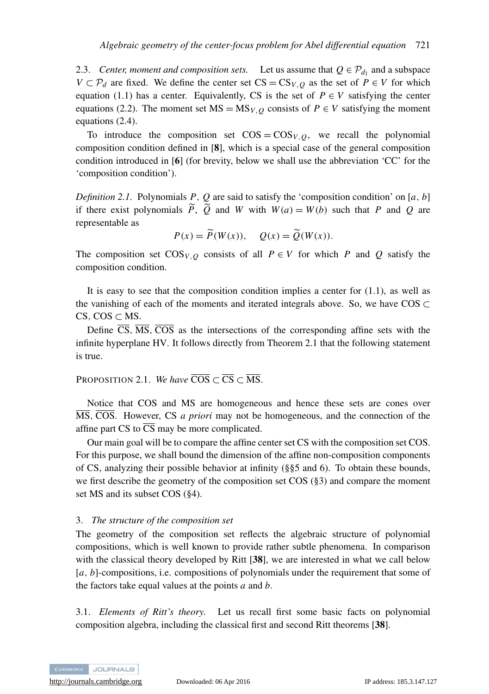2.3. *Center, moment and composition sets.* Let us assume that  $Q \in \mathcal{P}_{d_1}$  and a subspace *V* ⊂  $\mathcal{P}_d$  are fixed. We define the center set CS = CS<sub>*V*</sub>, $\varrho$  as the set of *P* ∈ *V* for which equation [\(1.1\)](#page-2-0) has a center. Equivalently, CS is the set of  $P \in V$  satisfying the center equations [\(2.2\)](#page-6-1). The moment set  $MS = MS_{V,Q}$  consists of  $P \in V$  satisfying the moment equations [\(2.4\)](#page-7-1).

To introduce the composition set  $\text{COS} = \text{COS}_{V,Q}$ , we recall the polynomial composition condition defined in [[8](#page-30-20)], which is a special case of the general composition condition introduced in [[6](#page-30-2)] (for brevity, below we shall use the abbreviation 'CC' for the 'composition condition').

*Definition 2.1.* Polynomials *P*, *Q* are said to satisfy the 'composition condition' on [*a*, *b*] if there exist polynomials  $\overline{P}$ ,  $\overline{Q}$  and *W* with  $W(a) = W(b)$  such that *P* and *Q* are representable as

$$
P(x) = \widetilde{P}(W(x)), \quad Q(x) = \widetilde{Q}(W(x)).
$$

The composition set  $\cos_{V,Q}$  consists of all  $P \in V$  for which *P* and *Q* satisfy the composition condition.

It is easy to see that the composition condition implies a center for  $(1.1)$ , as well as the vanishing of each of the moments and iterated integrals above. So, we have  $\cos \theta$ CS, COS  $\subset$  MS.

Define  $\overline{CS}$ ,  $\overline{MS}$ ,  $\overline{COS}$  as the intersections of the corresponding affine sets with the infinite hyperplane HV. It follows directly from Theorem [2.1](#page-7-0) that the following statement is true.

<span id="page-8-2"></span>PROPOSITION 2.1. *We have*  $\overline{COS} \subset \overline{CS} \subset \overline{MS}$ .

Notice that COS and MS are homogeneous and hence these sets are cones over MS, COS. However, CS *a priori* may not be homogeneous, and the connection of the affine part CS to  $\overline{CS}$  may be more complicated.

Our main goal will be to compare the affine center set CS with the composition set COS. For this purpose, we shall bound the dimension of the affine non-composition components of CS, analyzing their possible behavior at infinity (§[§5](#page-22-0) and [6\)](#page-23-0). To obtain these bounds, we first describe the geometry of the composition set COS ([§3\)](#page-8-0) and compare the moment set MS and its subset COS ([§4\)](#page-14-0).

#### <span id="page-8-0"></span>3. *The structure of the composition set*

The geometry of the composition set reflects the algebraic structure of polynomial compositions, which is well known to provide rather subtle phenomena. In comparison with the classical theory developed by Ritt [[38](#page-31-6)], we are interested in what we call below [a, b]-compositions, i.e. compositions of polynomials under the requirement that some of the factors take equal values at the points *a* and *b*.

<span id="page-8-1"></span>3.1. *Elements of Ritt's theory.* Let us recall first some basic facts on polynomial composition algebra, including the classical first and second Ritt theorems [[38](#page-31-6)].

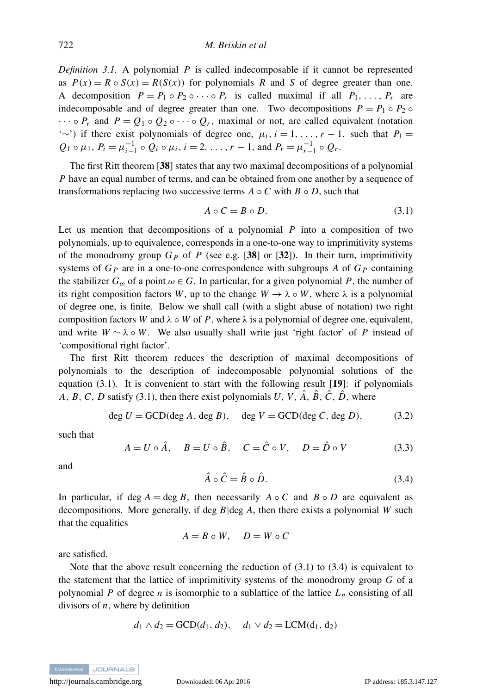*Definition 3.1.* A polynomial *P* is called indecomposable if it cannot be represented as  $P(x) = R \circ S(x) = R(S(x))$  for polynomials *R* and *S* of degree greater than one. A decomposition  $P = P_1 \circ P_2 \circ \cdots \circ P_r$  is called maximal if all  $P_1, \ldots, P_r$  are indecomposable and of degree greater than one. Two decompositions  $P = P_1 \circ P_2 \circ P_1$  $\cdots \circ P_r$  and  $P = Q_1 \circ Q_2 \circ \cdots \circ Q_r$ , maximal or not, are called equivalent (notation '∼') if there exist polynomials of degree one,  $\mu_i$ ,  $i = 1, \ldots, r - 1$ , such that  $P_1 =$  $Q_1 \circ \mu_1$ ,  $P_i = \mu_{i-1}^{-1} \circ Q_i \circ \mu_i$ ,  $i = 2, \ldots, r - 1$ , and  $P_r = \mu_{r-1}^{-1} \circ Q_r$ .

The first Ritt theorem [[38](#page-31-6)] states that any two maximal decompositions of a polynomial *P* have an equal number of terms, and can be obtained from one another by a sequence of transformations replacing two successive terms  $A \circ C$  with  $B \circ D$ , such that

<span id="page-9-0"></span>
$$
A \circ C = B \circ D. \tag{3.1}
$$

Let us mention that decompositions of a polynomial *P* into a composition of two polynomials, up to equivalence, corresponds in a one-to-one way to imprimitivity systems of the monodromy group  $G_P$  of P (see e.g. [[38](#page-31-6)] or [[32](#page-31-1)]). In their turn, imprimitivity systems of *G<sup>P</sup>* are in a one-to-one correspondence with subgroups *A* of *G<sup>P</sup>* containing the stabilizer  $G_{\omega}$  of a point  $\omega \in G$ . In particular, for a given polynomial P, the number of its right composition factors *W*, up to the change  $W \to \lambda \circ W$ , where  $\lambda$  is a polynomial of degree one, is finite. Below we shall call (with a slight abuse of notation) two right composition factors *W* and  $\lambda \circ W$  of *P*, where  $\lambda$  is a polynomial of degree one, equivalent, and write  $W \sim \lambda \circ W$ . We also usually shall write just 'right factor' of *P* instead of 'compositional right factor'.

The first Ritt theorem reduces the description of maximal decompositions of polynomials to the description of indecomposable polynomial solutions of the equation  $(3.1)$ . It is convenient to start with the following result  $[19]$  $[19]$  $[19]$ : if polynomials *A*, *B*, *C*, *D* satisfy [\(3.1\)](#page-9-0), then there exist polynomials *U*, *V*,  $\hat{A}$ ,  $\hat{B}$ ,  $\hat{C}$ ,  $\hat{D}$ , where

<span id="page-9-3"></span>
$$
\deg U = \text{GCD}(\deg A, \deg B), \quad \deg V = \text{GCD}(\deg C, \deg D), \tag{3.2}
$$

such that

<span id="page-9-2"></span>
$$
A = U \circ \hat{A}, \quad B = U \circ \hat{B}, \quad C = \hat{C} \circ V, \quad D = \hat{D} \circ V \tag{3.3}
$$

and

<span id="page-9-1"></span>
$$
\hat{A} \circ \hat{C} = \hat{B} \circ \hat{D}.
$$
\n(3.4)

In particular, if deg  $A = \deg B$ , then necessarily  $A \circ C$  and  $B \circ D$  are equivalent as decompositions. More generally, if deg *B*|deg *A*, then there exists a polynomial *W* such that the equalities

$$
A = B \circ W, \quad D = W \circ C
$$

are satisfied.

Note that the above result concerning the reduction of  $(3.1)$  to  $(3.4)$  is equivalent to the statement that the lattice of imprimitivity systems of the monodromy group *G* of a polynomial *P* of degree *n* is isomorphic to a sublattice of the lattice  $L_n$  consisting of all divisors of *n*, where by definition

$$
d_1 \wedge d_2 = \text{GCD}(d_1, d_2), \quad d_1 \vee d_2 = \text{LCM}(d_1, d_2)
$$

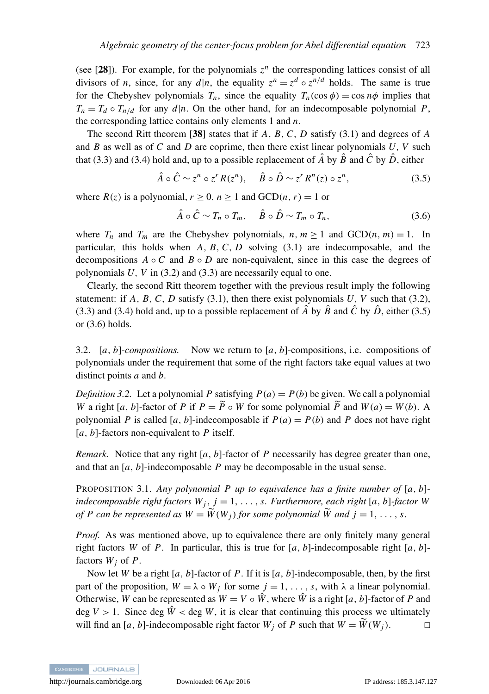(see [[28](#page-30-24)]). For example, for the polynomials  $z^n$  the corresponding lattices consist of all divisors of *n*, since, for any  $d|n$ , the equality  $z^n = z^d \circ z^{n/d}$  holds. The same is true for the Chebyshev polynomials  $T_n$ , since the equality  $T_n(\cos \phi) = \cos n\phi$  implies that  $T_n = T_d \circ T_{n/d}$  for any  $d|n$ . On the other hand, for an indecomposable polynomial *P*, the corresponding lattice contains only elements 1 and *n*.

The second Ritt theorem [[38](#page-31-6)] states that if *A*, *B*, *C*, *D* satisfy [\(3.1\)](#page-9-0) and degrees of *A* and *B* as well as of *C* and *D* are coprime, then there exist linear polynomials *U*, *V* such that [\(3.3\)](#page-9-2) and [\(3.4\)](#page-9-1) hold and, up to a possible replacement of  $\hat{A}$  by  $\hat{B}$  and  $\hat{C}$  by  $\hat{D}$ , either

<span id="page-10-0"></span>
$$
\hat{A} \circ \hat{C} \sim z^n \circ z^r R(z^n), \quad \hat{B} \circ \hat{D} \sim z^r R^n(z) \circ z^n, \tag{3.5}
$$

where  $R(z)$  is a polynomial,  $r \ge 0$ ,  $n \ge 1$  and  $GCD(n, r) = 1$  or

<span id="page-10-1"></span>
$$
\hat{A} \circ \hat{C} \sim T_n \circ T_m, \quad \hat{B} \circ \hat{D} \sim T_m \circ T_n, \tag{3.6}
$$

where  $T_n$  and  $T_m$  are the Chebyshev polynomials,  $n, m \ge 1$  and  $GCD(n, m) = 1$ . In particular, this holds when *A*, *B*, *C*, *D* solving [\(3.1\)](#page-9-0) are indecomposable, and the decompositions  $A \circ C$  and  $B \circ D$  are non-equivalent, since in this case the degrees of polynomials *U*, *V* in [\(3.2\)](#page-9-3) and [\(3.3\)](#page-9-2) are necessarily equal to one.

Clearly, the second Ritt theorem together with the previous result imply the following statement: if  $A, B, C, D$  satisfy [\(3.1\)](#page-9-0), then there exist polynomials  $U, V$  such that [\(3.2\)](#page-9-3), [\(3.3\)](#page-9-2) and [\(3.4\)](#page-9-1) hold and, up to a possible replacement of  $\hat{A}$  by  $\hat{B}$  and  $\hat{C}$  by  $\hat{D}$ , either [\(3.5\)](#page-10-0) or [\(3.6\)](#page-10-1) holds.

3.2. [*a*, *b*]*-compositions.* Now we return to [*a*, *b*]-compositions, i.e. compositions of polynomials under the requirement that some of the right factors take equal values at two distinct points *a* and *b*.

*Definition 3.2.* Let a polynomial *P* satisfying  $P(a) = P(b)$  be given. We call a polynomial *W* a right [*a*, *b*]-factor of *P* if  $P = \tilde{P} \circ W$  for some polynomial  $\tilde{P}$  and  $W(a) = W(b)$ . A polynomial *P* is called [*a*, *b*]-indecomposable if  $P(a) = P(b)$  and *P* does not have right [*a*, *b*]-factors non-equivalent to *P* itself.

*Remark.* Notice that any right [*a*, *b*]-factor of *P* necessarily has degree greater than one, and that an [*a*, *b*]-indecomposable *P* may be decomposable in the usual sense.

<span id="page-10-2"></span>PROPOSITION 3.1. *Any polynomial P up to equivalence has a finite number of* [*a*, *b*] *indecomposable right factors*  $W_i$ ,  $j = 1, \ldots, s$ . *Furthermore, each right* [a, b]-factor W *of P can be represented as*  $W = \widetilde{W}(W_i)$  *for some polynomial*  $\widetilde{W}$  *and*  $j = 1, ..., s$ .

*Proof.* As was mentioned above, up to equivalence there are only finitely many general right factors *W* of *P*. In particular, this is true for  $[a, b]$ -indecomposable right  $[a, b]$ factors *W<sup>j</sup>* of *P*.

Now let *W* be a right [*a*, *b*]-factor of *P*. If it is [*a*, *b*]-indecomposable, then, by the first part of the proposition,  $W = \lambda \circ W_j$  for some  $j = 1, \ldots, s$ , with  $\lambda$  a linear polynomial. Otherwise, *W* can be represented as  $W = V \circ \hat{W}$ , where  $\hat{W}$  is a right [a, b]-factor of P and deg  $V > 1$ . Since deg  $\hat{W} <$  deg W, it is clear that continuing this process we ultimately will find an [a, b]-indecomposable right factor  $W_i$  of P such that  $W = \widetilde{W}(W_i)$ .

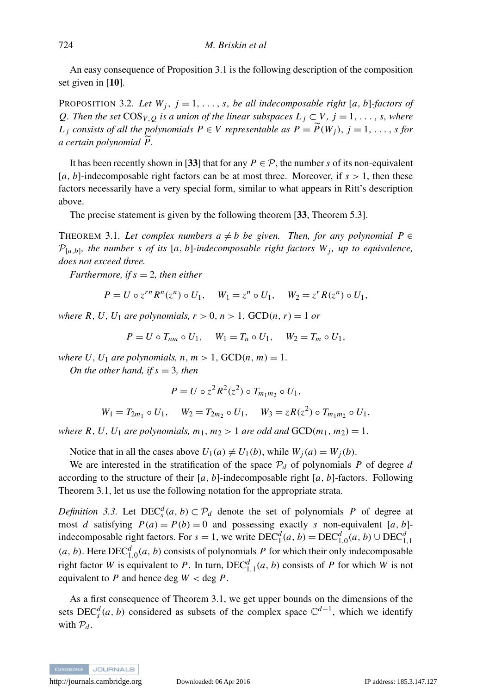An easy consequence of Proposition [3.1](#page-10-2) is the following description of the composition set given in [[10](#page-30-9)].

<span id="page-11-1"></span>PROPOSITION 3.2. *Let*  $W_j$ ,  $j = 1, \ldots, s$ , *be all indecomposable right* [*a*, *b*]*-factors of Q. Then the set*  $\cos_{V,Q}$  *is a union of the linear subspaces*  $L_j \subset V$ *,*  $j = 1, \ldots, s$ *, where L j consists of all the polynomials*  $P \in V$  *representable as*  $P = \widetilde{P}(W_i)$ *,*  $j = 1, \ldots, s$  *for a certain polynomial*  $\overline{P}$ *.* 

It has been recently shown in [[33](#page-31-3)] that for any  $P \in \mathcal{P}$ , the number *s* of its non-equivalent  $[a, b]$ -indecomposable right factors can be at most three. Moreover, if  $s > 1$ , then these factors necessarily have a very special form, similar to what appears in Ritt's description above.

The precise statement is given by the following theorem [[33](#page-31-3), Theorem 5.3].

<span id="page-11-0"></span>THEOREM 3.1. Let complex numbers  $a \neq b$  be given. Then, for any polynomial  $P \in$  $\mathcal{P}_{[a,b]}$ , the number s of its  $[a,b]$ -indecomposable right factors  $W_j$ , up to equivalence, *does not exceed three.*

*Furthermore, if*  $s = 2$ *, then either* 

$$
P = U \circ z^{rn} R^n(z^n) \circ U_1, \quad W_1 = z^n \circ U_1, \quad W_2 = z^r R(z^n) \circ U_1,
$$

*where R, U, U<sub>1</sub> are polynomials,*  $r > 0$ *,*  $n > 1$ *,*  $GCD(n, r) = 1$  *or* 

$$
P = U \circ T_{nm} \circ U_1, \quad W_1 = T_n \circ U_1, \quad W_2 = T_m \circ U_1,
$$

*where U*,  $U_1$  *are polynomials, n, m > 1, GCD(n, m) = 1.* 

*On the other hand, if s* = 3*, then*

$$
P=U\circ z^2R^2(z^2)\circ T_{m_1m_2}\circ U_1,
$$

$$
W_1 = T_{2m_1} \circ U_1
$$
,  $W_2 = T_{2m_2} \circ U_1$ ,  $W_3 = zR(z^2) \circ T_{m_1m_2} \circ U_1$ ,

*where R, U, U*<sub>1</sub> *are polynomials, m*<sub>1</sub>, *m*<sub>2</sub> > 1 *are odd and*  $GCD(m_1, m_2) = 1$ .

Notice that in all the cases above  $U_1(a) \neq U_1(b)$ , while  $W_i(a) = W_i(b)$ .

We are interested in the stratification of the space  $P_d$  of polynomials *P* of degree *d* according to the structure of their  $[a, b]$ -indecomposable right  $[a, b]$ -factors. Following Theorem [3.1,](#page-11-0) let us use the following notation for the appropriate strata.

*Definition 3.3.* Let  $DEC^d_s(a, b) \subset P_d$  denote the set of polynomials *P* of degree at most *d* satisfying  $P(a) = P(b) = 0$  and possessing exactly *s* non-equivalent [*a*, *b*]indecomposable right factors. For  $s = 1$ , we write  $DEC_1^d(a, b) = DEC_{1,0}^d(a, b) \cup DEC_{1,1}^d$  $(a, b)$ . Here  $DEC<sub>1,0</sub><sup>d</sup>(a, b)$  consists of polynomials *P* for which their only indecomposable right factor *W* is equivalent to *P*. In turn,  $DEC^d_{1,1}(a, b)$  consists of *P* for which *W* is not equivalent to  $P$  and hence deg  $W <$  deg  $P$ .

As a first consequence of Theorem [3.1,](#page-11-0) we get upper bounds on the dimensions of the sets  $DEC^d_s(a, b)$  considered as subsets of the complex space  $\mathbb{C}^{d-1}$ , which we identify with  $P_d$ .

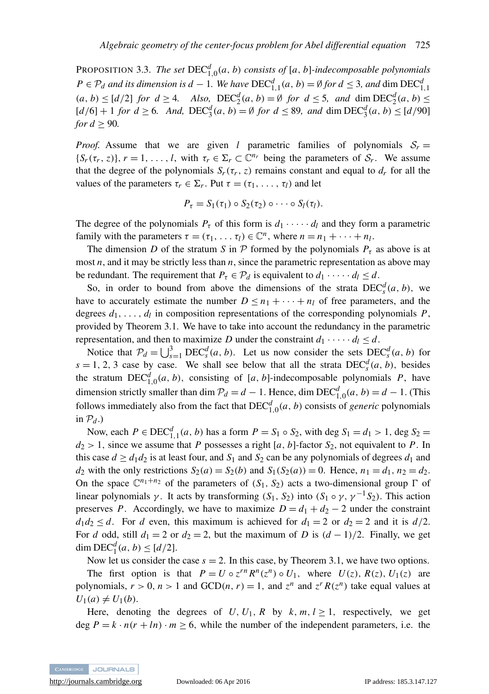<span id="page-12-0"></span>PROPOSITION 3.3. *The set* DEC*<sup>d</sup>* 1,0 (*a*, *b*) *consists of* [*a*, *b*]*-indecomposable polynomials P* ∈  $\mathcal{P}_d$  *and its dimension is d* − 1*. We have*  $DEC^d_{1,1}(a, b) = ∅$  *for d* ≤ 3*, and* dim  $DEC^d_{1,1}$  $(a, b) \leq [d/2]$  *for*  $d \geq 4$ *. Also,*  $\operatorname{DEC}_2^d(a, b) = \emptyset$  *for*  $d \leq 5$ *, and* dim  $\operatorname{DEC}_2^d(a, b) \leq$  $[d/6] + 1$  *for*  $d \ge 6$ *. And,*  $DEC^d_3(a, b) = \emptyset$  *for*  $d \le 89$ *, and* dim  $DEC^d_3(a, b) \le [d/90]$ *for*  $d > 90$ *.* 

*Proof.* Assume that we are given *l* parametric families of polynomials  $S_r =$  $\{S_r(\tau_r, z)\}, r = 1, \ldots, l$ , with  $\tau_r \in \Sigma_r \subset \mathbb{C}^{n_r}$  being the parameters of  $S_r$ . We assume that the degree of the polynomials  $S_r(\tau_r, z)$  remains constant and equal to  $d_r$  for all the values of the parameters  $\tau_r \in \Sigma_r$ . Put  $\tau = (\tau_1, \ldots, \tau_l)$  and let

$$
P_{\tau}=S_1(\tau_1)\circ S_2(\tau_2)\circ\cdots\circ S_l(\tau_l).
$$

The degree of the polynomials  $P_{\tau}$  of this form is  $d_1 \cdot \cdot \cdot \cdot d_l$  and they form a parametric family with the parameters  $\tau = (\tau_1, \dots, \tau_l) \in \mathbb{C}^n$ , where  $n = n_1 + \dots + n_l$ .

The dimension *D* of the stratum *S* in *P* formed by the polynomials  $P<sub>\tau</sub>$  as above is at most *n*, and it may be strictly less than *n*, since the parametric representation as above may be redundant. The requirement that  $P_{\tau} \in \mathcal{P}_d$  is equivalent to  $d_1 \cdot \cdot \cdot \cdot d_l \leq d$ .

So, in order to bound from above the dimensions of the strata  $\text{DEC}_s^d(a, b)$ , we have to accurately estimate the number  $D \leq n_1 + \cdots + n_l$  of free parameters, and the degrees  $d_1, \ldots, d_l$  in composition representations of the corresponding polynomials  $P$ , provided by Theorem [3.1.](#page-11-0) We have to take into account the redundancy in the parametric representation, and then to maximize *D* under the constraint  $d_1 \cdot \cdot \cdot \cdot d_l \leq d$ .

Notice that  $\mathcal{P}_d = \bigcup_{s=1}^3 \text{DEC}_s^d(a, b)$ . Let us now consider the sets  $\text{DEC}_s^d(a, b)$  for  $s = 1, 2, 3$  case by case. We shall see below that all the strata  $DEC^d_s(a, b)$ , besides the stratum  $DEC<sup>d</sup><sub>1,0</sub>(a, b)$ , consisting of [*a*, *b*]-indecomposable polynomials *P*, have dimension strictly smaller than dim  $\mathcal{P}_d = d - 1$ . Hence, dim  $DEC^d_{1,0}(a, b) = d - 1$ . (This follows immediately also from the fact that  $DEC<sub>1,0</sub><sup>d</sup>(a, b)$  consists of *generic* polynomials in  $\mathcal{P}_d$ .)

Now, each  $P \in \text{DEC}_{1,1}^d(a, b)$  has a form  $P = S_1 \circ S_2$ , with deg  $S_1 = d_1 > 1$ , deg  $S_2 =$  $d_2 > 1$ , since we assume that *P* possesses a right [*a*, *b*]-factor *S*<sub>2</sub>, not equivalent to *P*. In this case  $d \ge d_1 d_2$  is at least four, and  $S_1$  and  $S_2$  can be any polynomials of degrees  $d_1$  and *d*<sub>2</sub> with the only restrictions  $S_2(a) = S_2(b)$  and  $S_1(S_2(a)) = 0$ . Hence,  $n_1 = d_1$ ,  $n_2 = d_2$ . On the space  $\mathbb{C}^{n_1+n_2}$  of the parameters of  $(S_1, S_2)$  acts a two-dimensional group  $\Gamma$  of linear polynomials  $\gamma$ . It acts by transforming (*S*<sub>1</sub>, *S*<sub>2</sub>) into (*S*<sub>1</sub> ∘  $\gamma$ ,  $\gamma$ <sup>-1</sup> *S*<sub>2</sub>). This action preserves *P*. Accordingly, we have to maximize  $D = d_1 + d_2 - 2$  under the constraint  $d_1 d_2 \leq d$ . For *d* even, this maximum is achieved for  $d_1 = 2$  or  $d_2 = 2$  and it is  $d/2$ . For *d* odd, still  $d_1 = 2$  or  $d_2 = 2$ , but the maximum of *D* is  $(d - 1)/2$ . Finally, we get  $\dim \text{DEC}_1^d(a, b) \leq [d/2].$ 

Now let us consider the case  $s = 2$ . In this case, by Theorem [3.1,](#page-11-0) we have two options. The first option is that  $P = U \circ z^{rn} R^n(z^n) \circ U_1$ , where  $U(z)$ ,  $R(z)$ ,  $U_1(z)$  are polynomials,  $r > 0$ ,  $n > 1$  and  $GCD(n, r) = 1$ , and  $z^n$  and  $z^n R(z^n)$  take equal values at  $U_1(a) \neq U_1(b)$ .

Here, denoting the degrees of  $U, U_1, R$  by  $k, m, l \ge 1$ , respectively, we get deg  $P = k \cdot n(r + ln) \cdot m \ge 6$ , while the number of the independent parameters, i.e. the

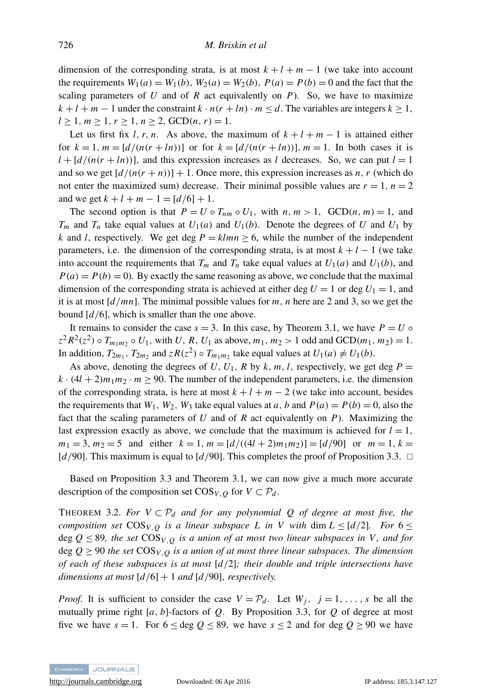dimension of the corresponding strata, is at most  $k + l + m - 1$  (we take into account the requirements  $W_1(a) = W_1(b)$ ,  $W_2(a) = W_2(b)$ ,  $P(a) = P(b) = 0$  and the fact that the scaling parameters of  $U$  and of  $R$  act equivalently on  $P$ ). So, we have to maximize  $k + l + m - 1$  under the constraint  $k \cdot n(r + ln) \cdot m \le d$ . The variables are integers  $k \ge 1$ ,  $l \geq 1, m \geq 1, r \geq 1, n \geq 2, GCD(n, r) = 1.$ 

Let us first fix *l*, *r*, *n*. As above, the maximum of  $k + l + m - 1$  is attained either for  $k = 1$ ,  $m = [d/(n(r + ln))]$  or for  $k = [d/(n(r + ln))]$ ,  $m = 1$ . In both cases it is  $l + [d/(n(r + ln))]$ , and this expression increases as *l* decreases. So, we can put  $l = 1$ and so we get  $\left[ d/(n(r+n)) \right] + 1$ . Once more, this expression increases as *n*, *r* (which do not enter the maximized sum) decrease. Their minimal possible values are  $r = 1$ ,  $n = 2$ and we get  $k + l + m - 1 = [d/6] + 1$ .

The second option is that  $P = U \circ T_{nm} \circ U_1$ , with  $n, m > 1$ , GCD $(n, m) = 1$ , and  $T_m$  and  $T_n$  take equal values at  $U_1(a)$  and  $U_1(b)$ . Denote the degrees of *U* and  $U_1$  by *k* and *l*, respectively. We get deg  $P = klmn \ge 6$ , while the number of the independent parameters, i.e. the dimension of the corresponding strata, is at most  $k + l - 1$  (we take into account the requirements that  $T_m$  and  $T_n$  take equal values at  $U_1(a)$  and  $U_1(b)$ , and  $P(a) = P(b) = 0$ . By exactly the same reasoning as above, we conclude that the maximal dimension of the corresponding strata is achieved at either deg  $U = 1$  or deg  $U_1 = 1$ , and it is at most [*d*/*mn*]. The minimal possible values for *m*, *n* here are 2 and 3, so we get the bound [*d*/6], which is smaller than the one above.

It remains to consider the case  $s = 3$ . In this case, by Theorem [3.1,](#page-11-0) we have  $P = U \circ$  $z^2 R^2(z^2) \circ T_{m_1 m_2} \circ U_1$ , with *U*, *R*, *U*<sub>1</sub> as above, *m*<sub>1</sub>, *m*<sub>2</sub> > 1 odd and GCD(*m*<sub>1</sub>, *m*<sub>2</sub>) = 1. In addition,  $T_{2m_1}$ ,  $T_{2m_2}$  and  $z R(z^2) \circ T_{m_1m_2}$  take equal values at  $U_1(a) \neq U_1(b)$ .

As above, denoting the degrees of  $U$ ,  $U_1$ ,  $R$  by  $k$ ,  $m$ ,  $l$ , respectively, we get deg  $P =$  $k \cdot (4l + 2)m_1m_2 \cdot m \ge 90$ . The number of the independent parameters, i.e. the dimension of the corresponding strata, is here at most  $k + l + m - 2$  (we take into account, besides the requirements that  $W_1$ ,  $W_2$ ,  $W_3$  take equal values at *a*, *b* and  $P(a) = P(b) = 0$ , also the fact that the scaling parameters of *U* and of *R* act equivalently on *P*). Maximizing the last expression exactly as above, we conclude that the maximum is achieved for  $l = 1$ ,  $m_1 = 3$ ,  $m_2 = 5$  and either  $k = 1$ ,  $m = \frac{d}{\left(\frac{4d + 2m_1m_2}{2}\right)} = \frac{d}{90}$  or  $m = 1$ ,  $k = 1$ [ $d$ /90]. This maximum is equal to [ $d$ /90]. This completes the proof of Proposition [3.3.](#page-12-0)  $\Box$ 

Based on Proposition [3.3](#page-12-0) and Theorem [3.1,](#page-11-0) we can now give a much more accurate description of the composition set  $\cos_{V,Q}$  for  $V \subset \mathcal{P}_d$ .

<span id="page-13-0"></span>THEOREM 3.2. *For*  $V \subset \mathcal{P}_d$  *and for any polynomial Q of degree at most five, the composition set*  $\cos y$ , *o is a linear subspace L in V with* dim  $L \leq \lfloor d/2 \rfloor$ . For  $6 \leq$ deg  $Q \leq 89$ , the set  $\cos y$ ,  $\alpha$  is a union of at most two linear subspaces in V, and for deg  $Q \geq 90$  *the set*  $\cos_{V,Q}$  *is a union of at most three linear subspaces. The dimension of each of these subspaces is at most* [*d*/2]*; their double and triple intersections have dimensions at most* [*d*/6] + 1 *and* [*d*/90], *respectively.*

*Proof.* It is sufficient to consider the case  $V = P_d$ . Let  $W_j$ ,  $j = 1, \ldots, s$  be all the mutually prime right  $[a, b]$ -factors of  $Q$ . By Proposition [3.3,](#page-12-0) for  $Q$  of degree at most five we have  $s = 1$ . For  $6 \le \text{deg } Q \le 89$ , we have  $s \le 2$  and for deg  $Q \ge 90$  we have

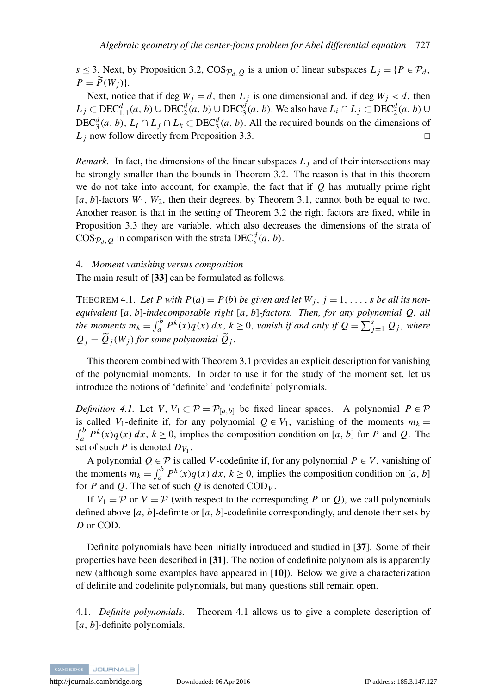*s* ≤ 3. Next, by Proposition [3.2,](#page-11-1)  $\cos_{\mathcal{P}_d, O}$  is a union of linear subspaces  $L_i = {P \in \mathcal{P}_d}$ ,  $P = \widetilde{P}(W_i)$ .

Next, notice that if deg  $W_j = d$ , then  $L_j$  is one dimensional and, if deg  $W_j < d$ , then *L*<sub>j</sub> ⊂ DEC<sup>*d*</sup><sub>1,1</sub>(*a*, *b*) ∪ DEC<sup>*d*</sup><sub>2</sub>(*a*, *b*) ∪ DEC<sup>*d*</sup><sub>3</sub>(*a*, *b*). We also have *L*<sub>*i*</sub> ∩ *L*<sub>*j*</sub> ⊂ DEC<sup>*d*</sup><sub>2</sub>(*a*, *b*) ∪ DEC<sup> $d$ </sup><sub>3</sub>(*a*, *b*), *L*<sub>*i*</sub> ∩ *L*<sub>*j*</sub> ∩ *L*<sub>*k*</sub> ⊂ DEC<sup> $d$ </sup><sub>3</sub>(*a*, *b*). All the required bounds on the dimensions of  $L_j$  now follow directly from Proposition [3.3.](#page-12-0)

*Remark.* In fact, the dimensions of the linear subspaces  $L_i$  and of their intersections may be strongly smaller than the bounds in Theorem [3.2.](#page-13-0) The reason is that in this theorem we do not take into account, for example, the fact that if *Q* has mutually prime right  $[a, b]$ -factors  $W_1$ ,  $W_2$ , then their degrees, by Theorem [3.1,](#page-11-0) cannot both be equal to two. Another reason is that in the setting of Theorem [3.2](#page-13-0) the right factors are fixed, while in Proposition [3.3](#page-12-0) they are variable, which also decreases the dimensions of the strata of  $COS_{\mathcal{P}_d, Q}$  in comparison with the strata  $DEC^d_s(a, b)$ .

#### <span id="page-14-0"></span>4. *Moment vanishing versus composition*

The main result of [[33](#page-31-3)] can be formulated as follows.

<span id="page-14-1"></span>THEOREM 4.1. Let P with  $P(a) = P(b)$  be given and let  $W_j$ ,  $j = 1, \ldots, s$  be all its non*equivalent* [*a*, *b*]*-indecomposable right* [*a*, *b*]*-factors. Then, for any polynomial Q, all the moments*  $m_k = \int_a^b P^k(x)q(x) dx$ ,  $k \ge 0$ , *vanish if and only if*  $Q = \sum_{j=1}^s Q_j$ , *where*  $Q_j = \tilde{Q}_j(W_j)$  *for some polynomial*  $\tilde{Q}_j$ .

This theorem combined with Theorem [3.1](#page-11-0) provides an explicit description for vanishing of the polynomial moments. In order to use it for the study of the moment set, let us introduce the notions of 'definite' and 'codefinite' polynomials.

<span id="page-14-2"></span>*Definition 4.1.* Let *V*,  $V_1 \subset \mathcal{P} = \mathcal{P}_{[a,b]}$  be fixed linear spaces. A polynomial  $P \in \mathcal{P}$ is called *V*<sub>1</sub>-definite if, for any polynomial  $Q \in V_1$ , vanishing of the moments  $m_k =$  $\int_a^b P^k(x)q(x) dx$ ,  $k \ge 0$ , implies the composition condition on [*a*, *b*] for *P* and *Q*. The set of such *P* is denoted  $D_{V_1}$ .

A polynomial  $Q ∈ P$  is called *V*-codefinite if, for any polynomial  $P ∈ V$ , vanishing of the moments  $m_k = \int_a^b P^k(x)q(x) dx$ ,  $k \ge 0$ , implies the composition condition on [*a*, *b*] for *P* and *Q*. The set of such *Q* is denoted  $\text{COD}_V$ .

If  $V_1 = \mathcal{P}$  or  $V = \mathcal{P}$  (with respect to the corresponding *P* or *Q*), we call polynomials defined above  $[a, b]$ -definite or  $[a, b]$ -codefinite correspondingly, and denote their sets by *D* or COD.

Definite polynomials have been initially introduced and studied in [[37](#page-31-7)]. Some of their properties have been described in [[31](#page-31-5)]. The notion of codefinite polynomials is apparently new (although some examples have appeared in [[10](#page-30-9)]). Below we give a characterization of definite and codefinite polynomials, but many questions still remain open.

4.1. *Definite polynomials.* Theorem [4.1](#page-14-1) allows us to give a complete description of [a, b]-definite polynomials.

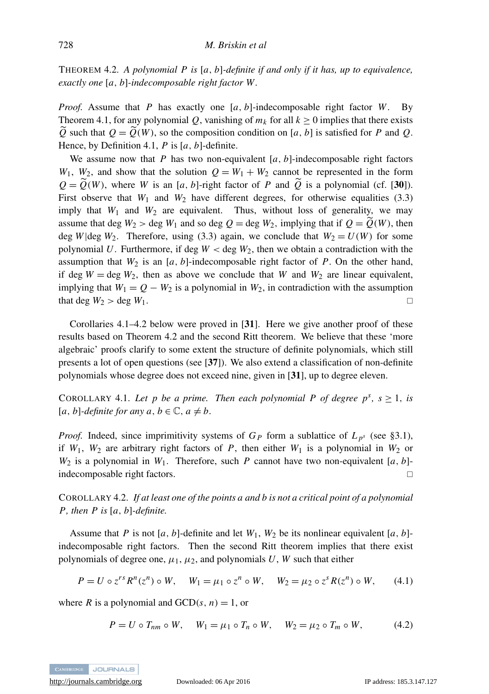<span id="page-15-2"></span>THEOREM 4.2. *A polynomial P is* [*a*, *b*]*-definite if and only if it has, up to equivalence, exactly one* [*a*, *b*]*-indecomposable right factor W .*

*Proof.* Assume that *P* has exactly one [*a*, *b*]-indecomposable right factor *W*. By Theorem [4.1,](#page-14-1) for any polynomial Q, vanishing of  $m_k$  for all  $k \ge 0$  implies that there exists  $\widetilde{Q}$  such that  $Q = \widetilde{Q}(W)$ , so the composition condition on [*a*, *b*] is satisfied for *P* and *Q*. Hence, by Definition [4.1,](#page-14-2) *P* is [*a*, *b*]-definite.

We assume now that  $P$  has two non-equivalent  $[a, b]$ -indecomposable right factors  $W_1$ ,  $W_2$ , and show that the solution  $Q = W_1 + W_2$  cannot be represented in the form  $Q = \widetilde{Q}(W)$ , where *W* is an [*a*, *b*]-right factor of *P* and  $\widetilde{Q}$  is a polynomial (cf. [[30](#page-31-8)]). First observe that  $W_1$  and  $W_2$  have different degrees, for otherwise equalities [\(3.3\)](#page-9-2) imply that  $W_1$  and  $W_2$  are equivalent. Thus, without loss of generality, we may assume that deg  $W_2 >$  deg  $W_1$  and so deg  $Q =$  deg  $W_2$ , implying that if  $Q = Q(W)$ , then deg *W*|deg *W*<sub>2</sub>. Therefore, using [\(3.3\)](#page-9-2) again, we conclude that  $W_2 = U(W)$  for some polynomial U. Furthermore, if deg  $W <$  deg  $W<sub>2</sub>$ , then we obtain a contradiction with the assumption that  $W_2$  is an [ $a$ ,  $b$ ]-indecomposable right factor of  $P$ . On the other hand, if deg  $W = \text{deg } W_2$ , then as above we conclude that *W* and  $W_2$  are linear equivalent, implying that  $W_1 = Q - W_2$  is a polynomial in  $W_2$ , in contradiction with the assumption that deg  $W_2 > \text{deg } W_1$ .

Corollaries [4.1](#page-15-0)[–4.2](#page-15-1) below were proved in [[31](#page-31-5)]. Here we give another proof of these results based on Theorem [4.2](#page-15-2) and the second Ritt theorem. We believe that these 'more algebraic' proofs clarify to some extent the structure of definite polynomials, which still presents a lot of open questions (see [[37](#page-31-7)]). We also extend a classification of non-definite polynomials whose degree does not exceed nine, given in [[31](#page-31-5)], up to degree eleven.

<span id="page-15-0"></span>COROLLARY 4.1. Let p be a prime. Then each polynomial P of degree  $p^s$ ,  $s \ge 1$ , is  $[a, b]$ -definite for any  $a, b \in \mathbb{C}, a \neq b$ .

*Proof.* Indeed, since imprimitivity systems of  $G_P$  form a sublattice of  $L_{p^s}$  (see [§3.1\)](#page-8-1), if  $W_1$ ,  $W_2$  are arbitrary right factors of P, then either  $W_1$  is a polynomial in  $W_2$  or  $W_2$  is a polynomial in  $W_1$ . Therefore, such *P* cannot have two non-equivalent [*a*, *b*]indecomposable right factors.

<span id="page-15-1"></span>COROLLARY 4.2. *If at least one of the points a and b is not a critical point of a polynomial P, then P is* [*a*, *b*]*-definite.*

Assume that *P* is not [a, b]-definite and let  $W_1$ ,  $W_2$  be its nonlinear equivalent [a, b]indecomposable right factors. Then the second Ritt theorem implies that there exist polynomials of degree one,  $\mu_1$ ,  $\mu_2$ , and polynomials *U*, *W* such that either

<span id="page-15-3"></span>
$$
P = U \circ z^{rs} R^n(z^n) \circ W, \quad W_1 = \mu_1 \circ z^n \circ W, \quad W_2 = \mu_2 \circ z^s R(z^n) \circ W, \quad (4.1)
$$

where *R* is a polynomial and  $GCD(s, n) = 1$ , or

<span id="page-15-4"></span>
$$
P = U \circ T_{nm} \circ W, \quad W_1 = \mu_1 \circ T_n \circ W, \quad W_2 = \mu_2 \circ T_m \circ W, \quad (4.2)
$$

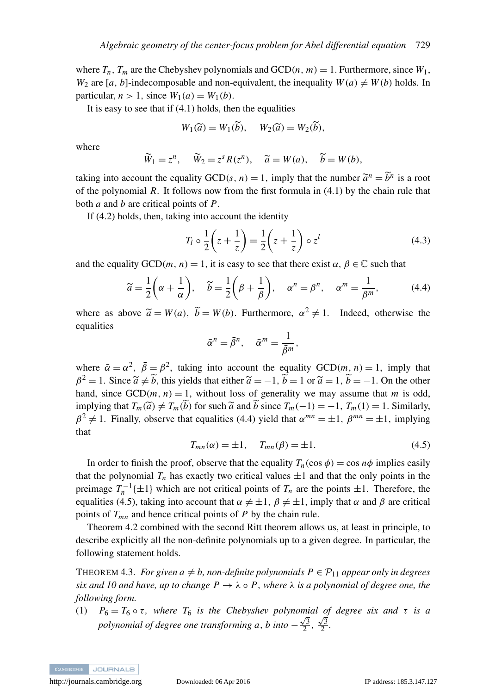where  $T_n$ ,  $T_m$  are the Chebyshev polynomials and  $GCD(n, m) = 1$ . Furthermore, since  $W_1$ , *W*<sub>2</sub> are [*a*, *b*]-indecomposable and non-equivalent, the inequality  $W(a) \neq W(b)$  holds. In particular,  $n > 1$ , since  $W_1(a) = W_1(b)$ .

It is easy to see that if  $(4.1)$  holds, then the equalities

$$
W_1(\widetilde{a}) = W_1(\widetilde{b}), \quad W_2(\widetilde{a}) = W_2(\widetilde{b}),
$$

where

$$
\widetilde{W}_1 = z^n
$$
,  $\widetilde{W}_2 = z^s R(z^n)$ ,  $\widetilde{a} = W(a)$ ,  $\widetilde{b} = W(b)$ ,

taking into account the equality  $GCD(s, n) = 1$ , imply that the number  $\tilde{a}^n = \tilde{b}^n$  is a root of the notworped *P*. It follows now from the first formula in (4.1) by the chain rule that of the polynomial *R*. It follows now from the first formula in [\(4.1\)](#page-15-3) by the chain rule that both *a* and *b* are critical points of *P*.

If [\(4.2\)](#page-15-4) holds, then, taking into account the identity

<span id="page-16-3"></span>
$$
T_l \circ \frac{1}{2} \left( z + \frac{1}{z} \right) = \frac{1}{2} \left( z + \frac{1}{z} \right) \circ z^l \tag{4.3}
$$

and the equality  $GCD(m, n) = 1$ , it is easy to see that there exist  $\alpha, \beta \in \mathbb{C}$  such that

<span id="page-16-0"></span>
$$
\widetilde{a} = \frac{1}{2} \left( \alpha + \frac{1}{\alpha} \right), \quad \widetilde{b} = \frac{1}{2} \left( \beta + \frac{1}{\beta} \right), \quad \alpha^n = \beta^n, \quad \alpha^m = \frac{1}{\beta^m}, \tag{4.4}
$$

where as above  $\tilde{a} = W(a)$ ,  $\tilde{b} = W(b)$ . Furthermore,  $\alpha^2 \neq 1$ . Indeed, otherwise the equalities equalities

$$
\bar{\alpha}^n = \bar{\beta}^n, \quad \bar{\alpha}^m = \frac{1}{\bar{\beta}^m},
$$

where  $\bar{\alpha} = \alpha^2$ ,  $\bar{\beta} = \beta^2$ , taking into account the equality GCD(*m*, *n*) = 1, imply that  $\beta^2 = 1$ . Since  $\tilde{a} \neq \tilde{b}$ , this yields that either  $\tilde{a} = -1$ ,  $\tilde{b} = 1$  or  $\tilde{a} = 1$ ,  $\tilde{b} = -1$ . On the other hand, since  $GCD(m, n) = 1$ , without loss of generality we may assume that *m* is odd, implying that  $T_m(\tilde{a}) \neq T_m(\tilde{b})$  for such  $\tilde{a}$  and  $\tilde{b}$  since  $T_m(-1) = -1$ ,  $T_m(1) = 1$ . Similarly,  $\beta^2 \neq 1$ . Finally, observe that equalities [\(4.4\)](#page-16-0) yield that  $\alpha^{mn} = \pm 1$ ,  $\beta^{mn} = \pm 1$ , implying that

<span id="page-16-1"></span>
$$
T_{mn}(\alpha) = \pm 1, \quad T_{mn}(\beta) = \pm 1.
$$
 (4.5)

In order to finish the proof, observe that the equality  $T_n(\cos \phi) = \cos n\phi$  implies easily that the polynomial  $T_n$  has exactly two critical values  $\pm 1$  and that the only points in the preimage  $T_n^{-1}\{\pm 1\}$  which are not critical points of  $T_n$  are the points  $\pm 1$ . Therefore, the equalities [\(4.5\)](#page-16-1), taking into account that  $\alpha \neq \pm 1$ ,  $\beta \neq \pm 1$ , imply that  $\alpha$  and  $\beta$  are critical points of *Tmn* and hence critical points of *P* by the chain rule.

Theorem [4.2](#page-15-2) combined with the second Ritt theorem allows us, at least in principle, to describe explicitly all the non-definite polynomials up to a given degree. In particular, the following statement holds.

<span id="page-16-2"></span>THEOREM 4.3. *For given a*  $\neq$  *b*, non-definite polynomials  $P \in \mathcal{P}_{11}$  appear only in degrees *six and 10 and have, up to change*  $P \to \lambda \circ P$ *, where*  $\lambda$  *is a polynomial of degree one, the following form.*

(1)  $P_6 = T_6 \circ \tau$ , where  $T_6$  *is the Chebyshev polynomial of degree six and*  $\tau$  *is a polynomial of degree one transforming a, b into*  $-\frac{\sqrt{3}}{2}, \frac{\sqrt{3}}{2}$ .

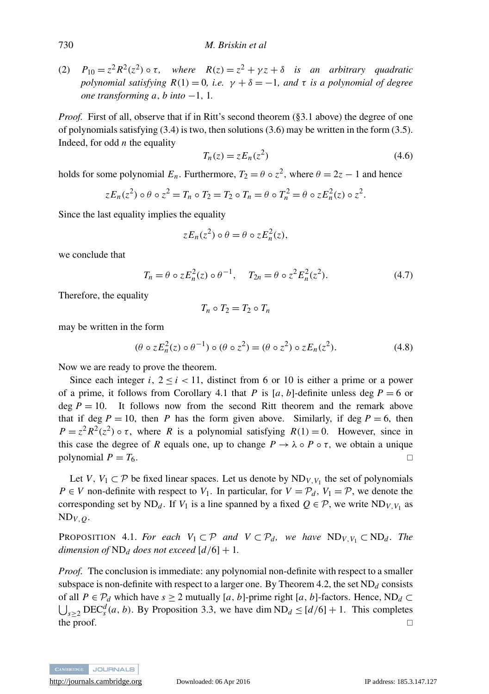(2)  $P_{10} = z^2 R^2(z^2) \circ \tau$ , where  $R(z) = z^2 + \gamma z + \delta$  *is an arbitrary quadratic polynomial satisfying*  $R(1) = 0$ *, i.e.*  $\gamma + \delta = -1$ *, and*  $\tau$  *is a polynomial of degree one transforming a, b into* −1, 1.

*Proof.* First of all, observe that if in Ritt's second theorem ([§3.1](#page-8-1) above) the degree of one of polynomials satisfying [\(3.4\)](#page-9-1) is two, then solutions [\(3.6\)](#page-10-1) may be written in the form [\(3.5\)](#page-10-0). Indeed, for odd *n* the equality

$$
T_n(z) = z E_n(z^2) \tag{4.6}
$$

holds for some polynomial  $E_n$ . Furthermore,  $T_2 = \theta \circ z^2$ , where  $\theta = 2z - 1$  and hence

$$
zE_n(z^2) \circ \theta \circ z^2 = T_n \circ T_2 = T_2 \circ T_n = \theta \circ T_n^2 = \theta \circ zE_n^2(z) \circ z^2.
$$

Since the last equality implies the equality

$$
zE_n(z^2)\circ\theta=\theta\circ zE_n^2(z),
$$

we conclude that

$$
T_n = \theta \circ z E_n^2(z) \circ \theta^{-1}, \quad T_{2n} = \theta \circ z^2 E_n^2(z^2). \tag{4.7}
$$

Therefore, the equality

$$
T_n \circ T_2 = T_2 \circ T_n
$$

may be written in the form

$$
(\theta \circ z E_n^2(z) \circ \theta^{-1}) \circ (\theta \circ z^2) = (\theta \circ z^2) \circ z E_n(z^2). \tag{4.8}
$$

Now we are ready to prove the theorem.

Since each integer  $i, 2 \le i \le 11$ , distinct from 6 or 10 is either a prime or a power of a prime, it follows from Corollary [4.1](#page-15-0) that *P* is [*a*, *b*]-definite unless deg  $P = 6$  or deg  $P = 10$ . It follows now from the second Ritt theorem and the remark above that if deg  $P = 10$ , then P has the form given above. Similarly, if deg  $P = 6$ , then  $P = z^2 R^2(z^2) \circ \tau$ , where *R* is a polynomial satisfying  $R(1) = 0$ . However, since in this case the degree of *R* equals one, up to change  $P \to \lambda \circ P \circ \tau$ , we obtain a unique polynomial  $P = T_6$ .

Let *V*,  $V_1 \subset \mathcal{P}$  be fixed linear spaces. Let us denote by  $ND_{V, V_1}$  the set of polynomials *P* ∈ *V* non-definite with respect to  $V_1$ . In particular, for  $V = P_d$ ,  $V_1 = P$ , we denote the corresponding set by ND<sub>d</sub>. If  $V_1$  is a line spanned by a fixed  $Q \in \mathcal{P}$ , we write ND<sub>V,  $V_1$ </sub> as  $ND_{V, Q}$ .

<span id="page-17-0"></span>PROPOSITION 4.1. *For each*  $V_1 \subset \mathcal{P}$  *and*  $V \subset \mathcal{P}_d$ *, we have*  $ND_{V,V_1} \subset ND_d$ *. The dimension of*  $ND_d$  *does not exceed*  $\lceil d/6 \rceil + 1$ *.* 

*Proof.* The conclusion is immediate: any polynomial non-definite with respect to a smaller subspace is non-definite with respect to a larger one. By Theorem [4.2,](#page-15-2) the set  $ND_d$  consists of all *P* ∈  $\mathcal{P}_d$  which have *s* ≥ 2 mutually [*a*, *b*]-prime right [*a*, *b*]-factors. Hence, ND<sub>*d*</sub> ⊂  $\bigcup_{s\geq 2} \text{DEC}_s^d(a, b)$ . By Proposition [3.3,](#page-12-0) we have dim ND<sub>d</sub>  $\leq [d/6] + 1$ . This completes the proof.  $\Box$ 

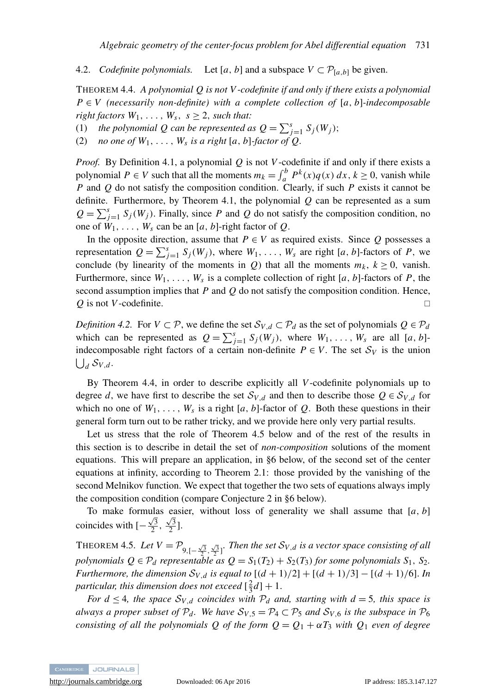<span id="page-18-2"></span>4.2. *Codefinite polynomials.* Let [a, b] and a subspace  $V \subset \mathcal{P}_{[a,b]}$  be given.

<span id="page-18-0"></span>THEOREM 4.4. *A polynomial Q is not V -codefinite if and only if there exists a polynomial P* ∈ *V (necessarily non-definite) with a complete collection of* [*a*, *b*]*-indecomposable right factors*  $W_1, \ldots, W_s, s \geq 2$ , *such that:* 

- (1) *the polynomial Q can be represented as*  $Q = \sum_{j=1}^{s} S_j(W_j)$ ;
- (2) *no one of*  $W_1, \ldots, W_s$  *is a right* [*a*, *b*]*-factor of Q*.

*Proof.* By Definition [4.1,](#page-14-2) a polynomial *Q* is not *V*-codefinite if and only if there exists a polynomial  $P \in V$  such that all the moments  $m_k = \int_a^b P^k(x) q(x) dx$ ,  $k \ge 0$ , vanish while *P* and *Q* do not satisfy the composition condition. Clearly, if such *P* exists it cannot be definite. Furthermore, by Theorem [4.1,](#page-14-1) the polynomial *Q* can be represented as a sum  $Q = \sum_{j=1}^{s} S_j(W_j)$ . Finally, since *P* and *Q* do not satisfy the composition condition, no one of  $W_1, \ldots, W_s$  can be an [a, b]-right factor of Q.

In the opposite direction, assume that  $P \in V$  as required exists. Since Q possesses a representation  $Q = \sum_{j=1}^{s} S_j(W_j)$ , where  $W_1, \ldots, W_s$  are right [*a*, *b*]-factors of *P*, we conclude (by linearity of the moments in *Q*) that all the moments  $m_k$ ,  $k \ge 0$ , vanish. Furthermore, since  $W_1, \ldots, W_s$  is a complete collection of right [a, b]-factors of P, the second assumption implies that *P* and *Q* do not satisfy the composition condition. Hence, *Q* is not *V*-codefinite. □

<span id="page-18-3"></span>*Definition 4.2.* For  $V \subset \mathcal{P}$ , we define the set  $S_{V,d} \subset \mathcal{P}_d$  as the set of polynomials  $Q \in \mathcal{P}_d$ which can be represented as  $Q = \sum_{j=1}^{s} S_j(W_j)$ , where  $W_1, \ldots, W_s$  are all [*a*, *b*]indecomposable right factors of a certain non-definite  $P \in V$ . The set  $S_V$  is the union  $\bigcup_d \mathcal{S}_{V,d}.$ 

By Theorem [4.4,](#page-18-0) in order to describe explicitly all *V*-codefinite polynomials up to degree *d*, we have first to describe the set  $S_{V,d}$  and then to describe those  $Q \in S_{V,d}$  for which no one of  $W_1, \ldots, W_s$  is a right [a, b]-factor of Q. Both these questions in their general form turn out to be rather tricky, and we provide here only very partial results.

Let us stress that the role of Theorem [4.5](#page-18-1) below and of the rest of the results in this section is to describe in detail the set of *non-composition* solutions of the moment equations. This will prepare an application, in [§6](#page-23-0) below, of the second set of the center equations at infinity, according to Theorem [2.1:](#page-7-0) those provided by the vanishing of the second Melnikov function. We expect that together the two sets of equations always imply the composition condition (compare Conjecture [2](#page-24-0) in [§6](#page-23-0) below).

To make formulas easier, without loss of generality we shall assume that  $[a, b]$ coincides with  $\left[-\frac{\sqrt{3}}{2}, \frac{\sqrt{3}}{2}\right]$ .

<span id="page-18-1"></span>THEOREM 4.5. Let  $V = \mathcal{P}_{9,\left[-\frac{\sqrt{3}}{2},\frac{\sqrt{3}}{2}\right]}$ . Then the set  $\mathcal{S}_{V,d}$  is a vector space consisting of all *polynomials*  $Q \in \mathcal{P}_d$  *representable as*  $Q = S_1(T_2) + S_2(T_3)$  *for some polynomials*  $S_1$ ,  $S_2$ *. Furthermore, the dimension*  $S_{V,d}$  *is equal to*  $[(d + 1)/2] + [(d + 1)/3] - [(d + 1)/6]$ . *In* particular, this dimension does not exceed  $[\frac{2}{3}d]+1$ .

*For d*  $\leq$  4*, the space*  $S_{V,d}$  *coincides with*  $P_d$  *and, starting with d* = 5*, this space is always a proper subset of*  $P_d$ *. We have*  $S_{V,5} = P_4 \subset P_5$  *and*  $S_{V,6}$  *is the subspace in*  $P_6$ *consisting of all the polynomials Q of the form*  $Q = Q_1 + \alpha T_3$  *with*  $Q_1$  *even of degree* 

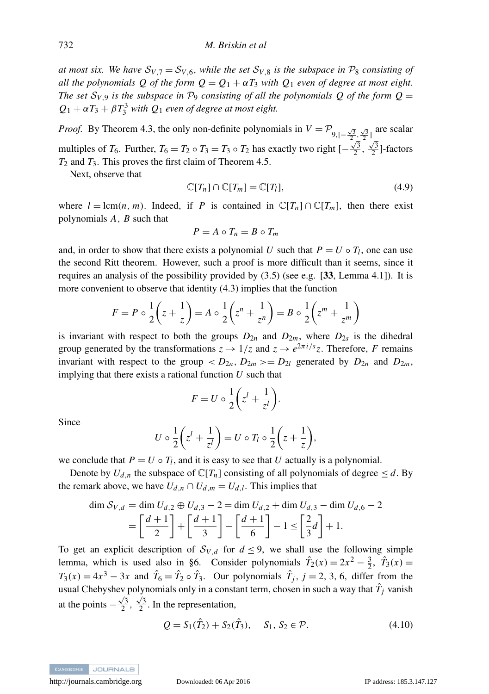*at most six. We have*  $S_{V,7} = S_{V,6}$ *, while the set*  $S_{V,8}$  *is the subspace in*  $P_8$  *consisting of all the polynomials Q of the form*  $Q = Q_1 + \alpha T_3$  *with*  $Q_1$  *even of degree at most eight. The set*  $S_{V,9}$  *is the subspace in*  $P_9$  *consisting of all the polynomials Q of the form*  $Q =$  $Q_1 + \alpha T_3 + \beta T_3^3$  *with*  $Q_1$  *even of degree at most eight.* 

*Proof.* By Theorem [4.3,](#page-16-2) the only non-definite polynomials in  $V = P_{9,[-\frac{\sqrt{3}}{2},\frac{\sqrt{3}}{2}]}$  are scalar multiples of *T*<sub>6</sub>. Further, *T*<sub>6</sub> = *T*<sub>2</sub> ◦ *T*<sub>3</sub> ◦ *T*<sub>2</sub> has exactly two right  $[-\frac{\sqrt{3}}{2}, \frac{\sqrt{3}}{2}]$ -factors *T*<sup>2</sup> and *T*3. This proves the first claim of Theorem [4.5.](#page-18-1)

Next, observe that

<span id="page-19-1"></span>
$$
\mathbb{C}[T_n] \cap \mathbb{C}[T_m] = \mathbb{C}[T_l],\tag{4.9}
$$

where  $l = \text{lcm}(n, m)$ . Indeed, if *P* is contained in  $\mathbb{C}[T_n] \cap \mathbb{C}[T_m]$ , then there exist polynomials *A*, *B* such that

$$
P = A \circ T_n = B \circ T_m
$$

and, in order to show that there exists a polynomial *U* such that  $P = U \circ T_l$ , one can use the second Ritt theorem. However, such a proof is more difficult than it seems, since it requires an analysis of the possibility provided by  $(3.5)$  (see e.g. [[33](#page-31-3), Lemma 4.1]). It is more convenient to observe that identity [\(4.3\)](#page-16-3) implies that the function

$$
F = P \circ \frac{1}{2} \left( z + \frac{1}{z} \right) = A \circ \frac{1}{2} \left( z^n + \frac{1}{z^n} \right) = B \circ \frac{1}{2} \left( z^m + \frac{1}{z^m} \right)
$$

is invariant with respect to both the groups  $D_{2n}$  and  $D_{2m}$ , where  $D_{2s}$  is the dihedral group generated by the transformations  $z \to 1/z$  and  $z \to e^{2\pi i/s}z$ . Therefore, *F* remains invariant with respect to the group  $,  $D_{2m}>=D_{2l}$  generated by  $D_{2n}$  and  $D_{2m}$ ,$ implying that there exists a rational function *U* such that

<span id="page-19-0"></span>
$$
F = U \circ \frac{1}{2} \bigg( z^l + \frac{1}{z^l} \bigg).
$$

Since

$$
U \circ \frac{1}{2} \left( z^l + \frac{1}{z^l} \right) = U \circ T_l \circ \frac{1}{2} \left( z + \frac{1}{z} \right),
$$

we conclude that  $P = U \circ T_l$ , and it is easy to see that *U* actually is a polynomial.

Denote by  $U_{d,n}$  the subspace of  $\mathbb{C}[T_n]$  consisting of all polynomials of degree  $\leq d$ . By the remark above, we have  $U_{d,n} \cap U_{d,m} = U_{d,l}$ . This implies that

$$
\dim S_{V,d} = \dim U_{d,2} \oplus U_{d,3} - 2 = \dim U_{d,2} + \dim U_{d,3} - \dim U_{d,6} - 2
$$
  
=  $\left[ \frac{d+1}{2} \right] + \left[ \frac{d+1}{3} \right] - \left[ \frac{d+1}{6} \right] - 1 \le \left[ \frac{2}{3}d \right] + 1.$ 

To get an explicit description of  $S_{V,d}$  for  $d \leq 9$ , we shall use the following simple lemma, which is used also in [§6.](#page-23-0) Consider polynomials  $\hat{T}_2(x) = 2x^2 - \frac{3}{2}$ ,  $\hat{T}_3(x) =$  $T_3(x) = 4x^3 - 3x$  and  $\hat{T}_6 = \hat{T}_2 \circ \hat{T}_3$ . Our polynomials  $\hat{T}_j$ ,  $j = 2, 3, 6$ , differ from the usual Chebyshev polynomials only in a constant term, chosen in such a way that  $\hat{T}_j$  vanish at the points  $-\frac{\sqrt{3}}{2}, \frac{\sqrt{3}}{2}$ . In the representation,

$$
Q = S_1(\hat{T}_2) + S_2(\hat{T}_3), \quad S_1, S_2 \in \mathcal{P}.
$$
 (4.10)



<http://journals.cambridge.org> Downloaded: 06 Apr 2016 IP address: 185.3.147.127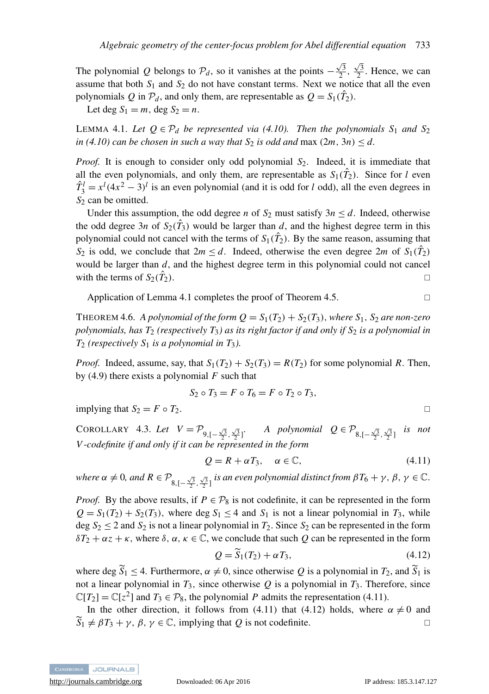The polynomial *Q* belongs to  $\mathcal{P}_d$ , so it vanishes at the points –  $\frac{\sqrt{3}}{2}$ ,  $\frac{\sqrt{3}}{2}$ . Hence, we can assume that both  $S_1$  and  $S_2$  do not have constant terms. Next we notice that all the even polynomials Q in  $\mathcal{P}_d$ , and only them, are representable as  $Q = S_1(\hat{T}_2)$ .

Let deg  $S_1 = m$ , deg  $S_2 = n$ .

<span id="page-20-0"></span>LEMMA 4.1. Let  $Q \in \mathcal{P}_d$  be represented via [\(4.10\)](#page-19-0). Then the polynomials  $S_1$  and  $S_2$ *in* [\(4.10\)](#page-19-0) can be chosen in such a way that  $S_2$  *is odd and* max  $(2m, 3n) \leq d$ .

*Proof.* It is enough to consider only odd polynomial *S*2. Indeed, it is immediate that all the even polynomials, and only them, are representable as  $S_1(\hat{T}_2)$ . Since for *l* even  $\hat{T}_3^l = x^l (4x^2 - 3)^l$  is an even polynomial (and it is odd for *l* odd), all the even degrees in *S*<sup>2</sup> can be omitted.

Under this assumption, the odd degree *n* of  $S_2$  must satisfy  $3n \le d$ . Indeed, otherwise the odd degree 3*n* of  $S_2(\hat{T}_3)$  would be larger than *d*, and the highest degree term in this polynomial could not cancel with the terms of  $S_1(\hat{T}_2)$ . By the same reason, assuming that *S*<sub>2</sub> is odd, we conclude that  $2m \le d$ . Indeed, otherwise the even degree  $2m$  of  $S_1(\hat{T}_2)$ would be larger than *d*, and the highest degree term in this polynomial could not cancel with the terms of  $S_2(\hat{T}_2)$ .  $\mathbb{Z}$ ).

Application of Lemma [4.1](#page-20-0) completes the proof of Theorem [4.5.](#page-18-1)

THEOREM 4.6. *A polynomial of the form*  $Q = S_1(T_2) + S_2(T_3)$ *, where*  $S_1$ *,*  $S_2$  *are non-zero polynomials, has T*<sup>2</sup> *(respectively T*3*) as its right factor if and only if S*<sup>2</sup> *is a polynomial in T*<sup>2</sup> *(respectively S*<sup>1</sup> *is a polynomial in T*3*).*

*Proof.* Indeed, assume, say, that  $S_1(T_2) + S_2(T_3) = R(T_2)$  for some polynomial *R*. Then, by [\(4.9\)](#page-19-1) there exists a polynomial *F* such that

$$
S_2 \circ T_3 = F \circ T_6 = F \circ T_2 \circ T_3,
$$

implying that  $S_2 = F \circ T_2$ .

COROLLARY 4.3. *Let*  $V = \mathcal{P}_{9,\left[-\frac{\sqrt{3}}{2},\frac{\sqrt{3}}{2}\right]}$ . *A polynomial*  $Q \in \mathcal{P}_{8,\left[-\frac{\sqrt{3}}{2},\frac{\sqrt{3}}{2}\right]}$  *is not* 2 2 *V -codefinite if and only if it can be represented in the form*

<span id="page-20-1"></span>
$$
Q = R + \alpha T_3, \quad \alpha \in \mathbb{C}, \tag{4.11}
$$

 $where \alpha \neq 0, and R \in \mathcal{P}_{8,[-\frac{\sqrt{3}}{2},\frac{\sqrt{3}}{2}]}$  *is an even polynomial distinct from*  $\beta T_6 + \gamma$ ,  $\beta, \gamma \in \mathbb{C}$ .

*Proof.* By the above results, if  $P \in \mathcal{P}_8$  is not codefinite, it can be represented in the form  $Q = S_1(T_2) + S_2(T_3)$ , where deg  $S_1 \leq 4$  and  $S_1$  is not a linear polynomial in  $T_3$ , while deg  $S_2 \le 2$  and  $S_2$  is not a linear polynomial in  $T_2$ . Since  $S_2$  can be represented in the form  $\delta T_2 + \alpha z + \kappa$ , where  $\delta$ ,  $\alpha$ ,  $\kappa \in \mathbb{C}$ , we conclude that such *Q* can be represented in the form

<span id="page-20-2"></span>
$$
Q = \widetilde{S}_1(T_2) + \alpha T_3,\tag{4.12}
$$

where deg  $\widetilde{S}_1 \leq 4$ . Furthermore,  $\alpha \neq 0$ , since otherwise Q is a polynomial in  $T_2$ , and  $\widetilde{S}_1$  is not a linear polynomial in  $T_3$ , since otherwise  $Q$  is a polynomial in  $T_3$ . Therefore, since  $\mathbb{C}[T_2] = \mathbb{C}[z^2]$  and  $T_3 \in \mathcal{P}_8$ , the polynomial *P* admits the representation [\(4.11\)](#page-20-1).

In the other direction, it follows from [\(4.11\)](#page-20-1) that [\(4.12\)](#page-20-2) holds, where  $\alpha \neq 0$  and  $\widetilde{S}_1 \neq \beta T_3 + \gamma$ ,  $\beta, \gamma \in \mathbb{C}$ , implying that *Q* is not codefinite.

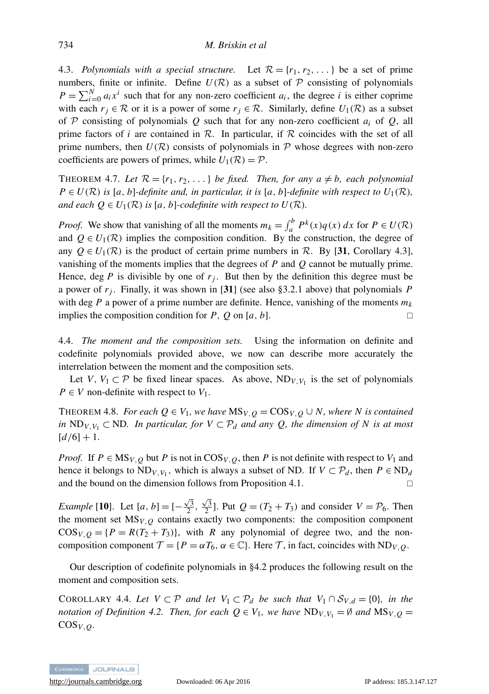<span id="page-21-1"></span>4.3. *Polynomials with a special structure.* Let  $\mathcal{R} = \{r_1, r_2, \dots\}$  be a set of prime numbers, finite or infinite. Define  $U(\mathcal{R})$  as a subset of  $\mathcal P$  consisting of polynomials  $P = \sum_{i=0}^{N} a_i x^i$  such that for any non-zero coefficient  $a_i$ , the degree *i* is either coprime with each  $r_j \in \mathcal{R}$  or it is a power of some  $r_j \in \mathcal{R}$ . Similarly, define  $U_1(\mathcal{R})$  as a subset of P consisting of polynomials Q such that for any non-zero coefficient  $a_i$  of Q, all prime factors of *i* are contained in  $\mathcal{R}$ . In particular, if  $\mathcal{R}$  coincides with the set of all prime numbers, then  $U(\mathcal{R})$  consists of polynomials in  $\mathcal P$  whose degrees with non-zero coefficients are powers of primes, while  $U_1(\mathcal{R}) = \mathcal{P}$ .

<span id="page-21-2"></span>THEOREM 4.7. Let  $\mathcal{R} = \{r_1, r_2, \ldots\}$  be fixed. Then, for any  $a \neq b$ , each polynomial  $P \in U(\mathcal{R})$  *is* [*a*, *b*]*-definite and, in particular, it is* [*a*, *b*]*-definite with respect to*  $U_1(\mathcal{R})$ *, and each*  $Q \in U_1(\mathcal{R})$  *is* [*a*, *b*]*-codefinite with respect to*  $U(\mathcal{R})$ *.* 

*Proof.* We show that vanishing of all the moments  $m_k = \int_a^b P^k(x) q(x) dx$  for  $P \in U(\mathcal{R})$ and  $Q \in U_1(\mathcal{R})$  implies the composition condition. By the construction, the degree of any  $Q \in U_1(\mathcal{R})$  is the product of certain prime numbers in  $\mathcal{R}$ . By [[31](#page-31-5), Corollary 4.3], vanishing of the moments implies that the degrees of *P* and *Q* cannot be mutually prime. Hence, deg  $P$  is divisible by one of  $r_j$ . But then by the definition this degree must be a power of *r<sup>j</sup>* . Finally, it was shown in [[31](#page-31-5)] (see also §3.2.1 above) that polynomials *P* with deg *P* a power of a prime number are definite. Hence, vanishing of the moments  $m_k$ implies the composition condition for  $P$ ,  $Q$  on  $[a, b]$ .

4.4. *The moment and the composition sets.* Using the information on definite and codefinite polynomials provided above, we now can describe more accurately the interrelation between the moment and the composition sets.

Let *V*,  $V_1 \subset \mathcal{P}$  be fixed linear spaces. As above,  $ND_{V_1V_1}$  is the set of polynomials  $P \in V$  non-definite with respect to  $V_1$ .

<span id="page-21-0"></span>THEOREM 4.8. *For each*  $Q \in V_1$ *, we have*  $MS_{V,Q} = COS_{V,Q} \cup N$ *, where* N is contained *in* ND<sub>*V*</sub>,*V*<sub>1</sub> ⊂ ND*. In particular, for*  $V \subset \mathcal{P}_d$  *and any Q, the dimension of* N *is at most*  $[d/6] + 1.$ 

*Proof.* If  $P \in \text{MS}_{V,Q}$  but *P* is not in  $\text{COS}_{V,Q}$ , then *P* is not definite with respect to  $V_1$  and hence it belongs to  $ND_{V, V_1}$ , which is always a subset of ND. If  $V \subset \mathcal{P}_d$ , then  $P \in ND_d$ and the bound on the dimension follows from Proposition [4.1.](#page-17-0)

*Example* [[10](#page-30-9)]. Let  $[a, b] =$  [- $\frac{\sqrt{3}}{2}$ ,  $\frac{\sqrt{3}}{2}$ ]. Put  $Q = (T_2 + T_3)$  and consider  $V = P_6$ . Then the moment set  $MS_{V,Q}$  contains exactly two components: the composition component  $\cos v_{1,0} = \{P = R(T_2 + T_3)\}\$ , with *R* any polynomial of degree two, and the noncomposition component  $\mathcal{T} = \{P = \alpha T_6, \alpha \in \mathbb{C}\}$ . Here T, in fact, coincides with ND<sub>*V*,*Q*</sub>.

Our description of codefinite polynomials in [§4.2](#page-18-2) produces the following result on the moment and composition sets.

<span id="page-21-3"></span>COROLLARY 4.4. Let  $V \subset \mathcal{P}$  and let  $V_1 \subset \mathcal{P}_d$  be such that  $V_1 \cap \mathcal{S}_{V,d} = \{0\}$ , in the *notation of Definition* [4.2.](#page-18-3) *Then, for each*  $Q \in V_1$ *, we have*  $ND_{V,V_1} = \emptyset$  *and*  $MS_{V,Q} =$  $COS_{V, Q}$ *.* 

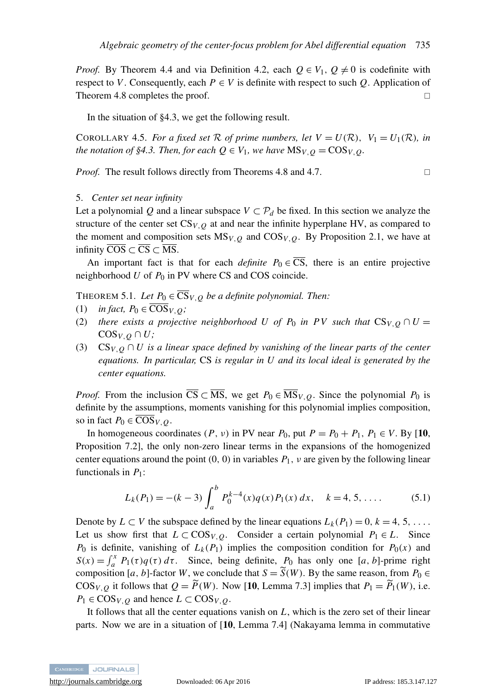*Proof.* By Theorem [4.4](#page-18-0) and via Definition [4.2,](#page-18-3) each  $Q \in V_1$ ,  $Q \neq 0$  is codefinite with respect to *V*. Consequently, each  $P \in V$  is definite with respect to such *Q*. Application of Theorem [4.8](#page-21-0) completes the proof.

In the situation of [§4.3,](#page-21-1) we get the following result.

<span id="page-22-2"></span>COROLLARY 4.5. *For a fixed set* R *of prime numbers, let*  $V = U(\mathcal{R})$ ,  $V_1 = U_1(\mathcal{R})$ *, in the notation of [§4.3.](#page-21-1) Then, for each*  $Q \in V_1$ *, we have*  $MS_{V,Q} = COS_{V,Q}$ *.* 

*Proof.* The result follows directly from Theorems [4.8](#page-21-0) and [4.7.](#page-21-2) □

#### <span id="page-22-0"></span>5. *Center set near infinity*

Let a polynomial *Q* and a linear subspace  $V \subset \mathcal{P}_d$  be fixed. In this section we analyze the structure of the center set  $CS_{V,Q}$  at and near the infinite hyperplane HV, as compared to the moment and composition sets  $MS_{V,Q}$  and  $COS_{V,Q}$ . By Proposition [2.1,](#page-8-2) we have at infinity  $\overline{COS} \subset \overline{CS} \subset \overline{MS}$ .

An important fact is that for each *definite*  $P_0 \in \overline{CS}$ , there is an entire projective neighborhood  $U$  of  $P_0$  in PV where CS and COS coincide.

<span id="page-22-1"></span>THEOREM 5.1. Let  $P_0 \in \overline{\mathbb{CS}}_{V,Q}$  *be a definite polynomial. Then:* 

- (1) *in fact,*  $P_0 \in \overline{\text{COS}}_{V,0}$ ;
- (2) *there exists a projective neighborhood U of P<sub>0</sub> in PV such that*  $CS_{V,Q} \cap U =$  $\cos_{V,Q} \cap U$ ;
- (3) CS<sub>*V*,  $Q \cap U$  is a linear space defined by vanishing of the linear parts of the center</sub> *equations. In particular,* CS *is regular in U and its local ideal is generated by the center equations.*

*Proof.* From the inclusion  $\overline{CS} \subset \overline{MS}$ , we get  $P_0 \in \overline{MS}_{V,Q}$ . Since the polynomial  $P_0$  is definite by the assumptions, moments vanishing for this polynomial implies composition, so in fact  $P_0 \in \overline{\text{COS}}_{V, Q}$ .

In homogeneous coordinates  $(P, v)$  in PV near  $P_0$ , put  $P = P_0 + P_1$ ,  $P_1 \in V$ . By [[10](#page-30-9), Proposition 7.2], the only non-zero linear terms in the expansions of the homogenized center equations around the point  $(0, 0)$  in variables  $P_1$ ,  $\nu$  are given by the following linear functionals in  $P_1$ :

$$
L_k(P_1) = -(k-3)\int_a^b P_0^{k-4}(x)q(x)P_1(x) dx, \quad k = 4, 5, .... \tag{5.1}
$$

Denote by  $L \subset V$  the subspace defined by the linear equations  $L_k(P_1) = 0, k = 4, 5, \ldots$ . Let us show first that  $L \subset \text{COS}_{V,Q}$ . Consider a certain polynomial  $P_1 \in L$ . Since  $P_0$  is definite, vanishing of  $L_k(P_1)$  implies the composition condition for  $P_0(x)$  and  $S(x) = \int_a^x P_1(\tau) q(\tau) d\tau$ . Since, being definite,  $P_0$  has only one [*a*, *b*]-prime right composition [*a*, *b*]-factor *W*, we conclude that  $S = \widetilde{S}(W)$ . By the same reason, from  $P_0 \in$  $\cos_{V,Q}$  it follows that  $Q = \widetilde{P}(W)$ . Now [[10](#page-30-9), Lemma 7.3] implies that  $P_1 = \widetilde{P}_1(W)$ , i.e.  $P_1 \in \text{COS}_{V,Q}$  and hence  $L \subset \text{COS}_{V,Q}$ .

It follows that all the center equations vanish on *L*, which is the zero set of their linear parts. Now we are in a situation of [[10](#page-30-9), Lemma 7.4] (Nakayama lemma in commutative

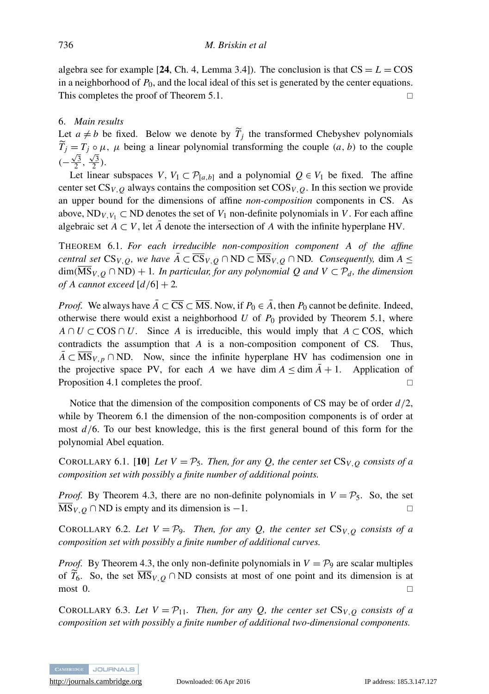algebra see for example [[24](#page-30-25), Ch. 4, Lemma 3.4]). The conclusion is that  $CS = L = COS$ in a neighborhood of  $P_0$ , and the local ideal of this set is generated by the center equations. This completes the proof of Theorem [5.1.](#page-22-1)

#### <span id="page-23-0"></span>6. *Main results*

Let  $a \neq b$  be fixed. Below we denote by  $T_j$  the transformed Chebyshev polynomials  $\widetilde{T}_j = T_j \circ \mu$ ,  $\mu$  being a linear polynomial transforming the couple  $(a, b)$  to the couple  $\left(-\frac{\sqrt{3}}{2}, \frac{\sqrt{3}}{2}\right)$ .

Let linear subspaces *V*,  $V_1 \subset \mathcal{P}_{[a,b]}$  and a polynomial  $Q \in V_1$  be fixed. The affine center set  $CS_{V,Q}$  always contains the composition set  $COS_{V,Q}$ . In this section we provide an upper bound for the dimensions of affine *non-composition* components in CS. As above,  $ND_{V,V_1} \subset ND$  denotes the set of  $V_1$  non-definite polynomials in *V*. For each affine algebraic set  $A \subset V$ , let  $A$  denote the intersection of  $A$  with the infinite hyperplane HV.

<span id="page-23-1"></span>THEOREM 6.1. *For each irreducible non-composition component A of the affine central set*  $CS_{V,Q}$ *, we have*  $\overline{A} \subset \overline{CS}_{V,Q} \cap \overline{ND} \subset \overline{MS}_{V,Q} \cap \overline{ND}$ *. Consequently,* dim  $A \leq$  $\dim(MS_{V,Q} \cap ND) + 1$ *. In particular, for any polynomial Q and*  $V \subset P_d$ *, the dimension of A cannot exceed* [*d*/6] + 2*.*

*Proof.* We always have  $\overline{A} \subset \overline{CS} \subset \overline{MS}$ . Now, if  $P_0 \in \overline{A}$ , then  $P_0$  cannot be definite. Indeed, otherwise there would exist a neighborhood  $U$  of  $P_0$  provided by Theorem [5.1,](#page-22-1) where  $A \cap U \subset \text{COS} \cap U$ . Since *A* is irreducible, this would imply that  $A \subset \text{COS}$ , which contradicts the assumption that *A* is a non-composition component of CS. Thus,  $A \subset \overline{MS}_{V,p} \cap \overline{ND}$ . Now, since the infinite hyperplane HV has codimension one in the projective space PV, for each *A* we have dim  $A \leq \dim A + 1$ . Application of Proposition [4.1](#page-17-0) completes the proof.

Notice that the dimension of the composition components of CS may be of order *d*/2, while by Theorem [6.1](#page-23-1) the dimension of the non-composition components is of order at most *d*/6. To our best knowledge, this is the first general bound of this form for the polynomial Abel equation.

<span id="page-23-2"></span>COROLLARY 6.1. [[10](#page-30-9)] Let  $V = P_5$ . Then, for any Q, the center set  $CS_{V,Q}$  consists of a *composition set with possibly a finite number of additional points.*

*Proof.* By Theorem [4.3,](#page-16-2) there are no non-definite polynomials in  $V = P_5$ . So, the set  $\overline{\text{MS}}_{V,Q} \cap \text{ND}$  is empty and its dimension is  $-1$ .

COROLLARY 6.2. Let  $V = P_9$ . Then, for any Q, the center set  $CS_{V,Q}$  consists of a *composition set with possibly a finite number of additional curves.*

*Proof.* By Theorem [4.3,](#page-16-2) the only non-definite polynomials in  $V = \mathcal{P}_9$  are scalar multiples of  $\widetilde{T}_6$ . So, the set  $\overline{\text{MS}}_{V,Q} \cap \text{ND}$  consists at most of one point and its dimension is at most 0.  $\Box$  most 0.

<span id="page-23-3"></span>COROLLARY 6.3. Let  $V = P_{11}$ . Then, for any Q, the center set  $CS_{V,Q}$  consists of a *composition set with possibly a finite number of additional two-dimensional components.*

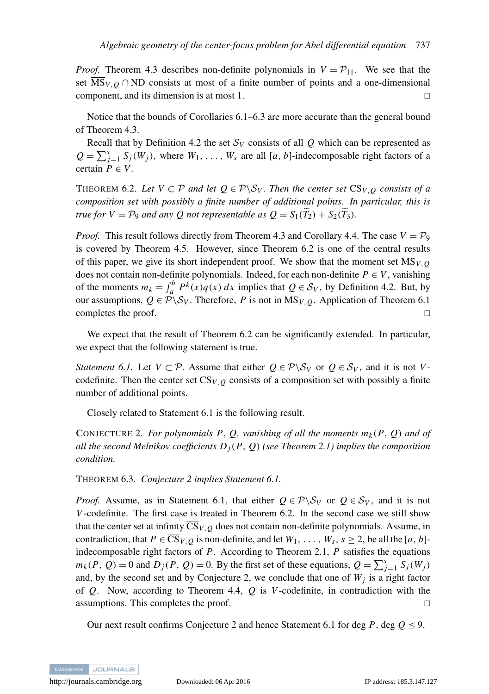*Proof.* Theorem [4.3](#page-16-2) describes non-definite polynomials in  $V = P_{11}$ . We see that the set  $\overline{\text{MS}}_{V,Q} \cap \text{ND}$  consists at most of a finite number of points and a one-dimensional component, and its dimension is at most 1.

Notice that the bounds of Corollaries [6.1](#page-23-2)[–6.3](#page-23-3) are more accurate than the general bound of Theorem [4.3.](#page-16-2)

Recall that by Definition [4.2](#page-18-3) the set  $S_V$  consists of all  $Q$  which can be represented as  $Q = \sum_{j=1}^{s} S_j(W_j)$ , where  $W_1, \ldots, W_s$  are all [*a*, *b*]-indecomposable right factors of a certain  $P \in V$ .

<span id="page-24-1"></span>THEOREM 6.2. Let  $V \subset \mathcal{P}$  *and let*  $Q \in \mathcal{P} \backslash \mathcal{S}_V$ . Then the center set  $CS_{V,Q}$  consists of a *composition set with possibly a finite number of additional points. In particular, this is true for*  $V = P_9$  *and any Q not representable as*  $Q = S_1(\widetilde{T}_2) + S_2(\widetilde{T}_3)$ *.* 

*Proof.* This result follows directly from Theorem [4.3](#page-16-2) and Corollary [4.4.](#page-21-3) The case  $V = \mathcal{P}_9$ is covered by Theorem [4.5.](#page-18-1) However, since Theorem [6.2](#page-24-1) is one of the central results of this paper, we give its short independent proof. We show that the moment set  $MS<sub>V,Q</sub>$ does not contain non-definite polynomials. Indeed, for each non-definite  $P \in V$ , vanishing of the moments  $m_k = \int_a^b P^k(x)q(x) dx$  implies that  $Q \in S_V$ , by Definition [4.2.](#page-18-3) But, by our assumptions,  $Q \in \mathcal{P} \backslash \mathcal{S}_V$ . Therefore, *P* is not in MS<sub>*V*, *Q*</sub>. Application of Theorem [6.1](#page-23-1) completes the proof.  $\Box$ 

We expect that the result of Theorem [6.2](#page-24-1) can be significantly extended. In particular, we expect that the following statement is true.

<span id="page-24-2"></span>*Statement 6.1.* Let  $V \subset \mathcal{P}$ . Assume that either  $Q \in \mathcal{P} \backslash \mathcal{S}_V$  or  $Q \in \mathcal{S}_V$ , and it is not *V*codefinite. Then the center set  $CS_{V,Q}$  consists of a composition set with possibly a finite number of additional points.

Closely related to Statement [6.1](#page-24-2) is the following result.

<span id="page-24-0"></span>CONJECTURE 2. *For polynomials P, Q, vanishing of all the moments*  $m_k(P, Q)$  *and of all the second Melnikov coefficients Dj*(*P*, *Q*) *(see Theorem [2.1\)](#page-7-0) implies the composition condition.*

<span id="page-24-3"></span>THEOREM 6.3. *Conjecture [2](#page-24-0) implies Statement [6.1.](#page-24-2)*

*Proof.* Assume, as in Statement [6.1,](#page-24-2) that either  $Q \in \mathcal{P} \backslash \mathcal{S}_V$  or  $Q \in \mathcal{S}_V$ , and it is not *V*-codefinite. The first case is treated in Theorem [6.2.](#page-24-1) In the second case we still show that the center set at infinity  $\overline{CS}_{V,Q}$  does not contain non-definite polynomials. Assume, in contradiction, that  $P \in \overline{CS}_{V,Q}$  is non-definite, and let  $W_1, \ldots, W_s, s \ge 2$ , be all the [*a*, *b*]indecomposable right factors of *P*. According to Theorem [2.1,](#page-7-0) *P* satisfies the equations  $m_k(P, Q) = 0$  and  $D_j(P, Q) = 0$ . By the first set of these equations,  $Q = \sum_{j=1}^s S_j(W_j)$ and, by the second set and by Conjecture [2,](#page-24-0) we conclude that one of  $W_j$  is a right factor of *Q*. Now, according to Theorem [4.4,](#page-18-0) *Q* is *V*-codefinite, in contradiction with the assumptions. This completes the proof.

Our next result confirms Conjecture [2](#page-24-0) and hence Statement [6.1](#page-24-2) for deg  $P$ , deg  $Q \le 9$ .

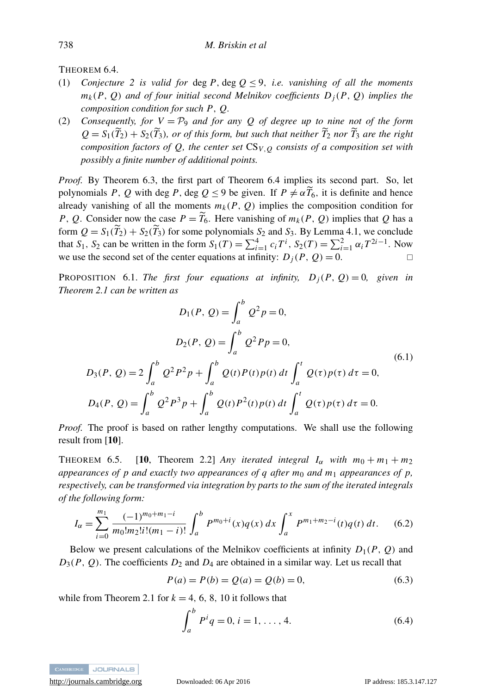<span id="page-25-1"></span>THEOREM 6.4.

- (1) *Conjecture* [2](#page-24-0) *is valid for* deg  $P$ , deg  $Q \le 9$ , *i.e. vanishing of all the moments*  $m_k(P, Q)$  *and of four initial second Melnikov coefficients*  $D_i(P, Q)$  *implies the composition condition for such P*, *Q.*
- (2) *Consequently, for*  $V = P<sub>9</sub>$  *and for any Q of degree up to nine not of the form*  $Q = S_1(\widetilde{T}_2) + S_2(\widetilde{T}_3)$ *, or of this form, but such that neither*  $\widetilde{T}_2$  *nor*  $\widetilde{T}_3$  *are the right composition factors of Q, the center set* CS*V*,*<sup>Q</sup> consists of a composition set with possibly a finite number of additional points.*

*Proof.* By Theorem [6.3,](#page-24-3) the first part of Theorem [6.4](#page-25-1) implies its second part. So, let polynomials *P*, *Q* with deg *P*, deg  $Q \le 9$  be given. If  $P \neq \alpha \widetilde{T}_6$ , it is definite and hence already vanishing of all the moments  $m_k(P, Q)$  implies the composition condition for *P*, *Q*. Consider now the case  $P = T_6$ . Here vanishing of  $m_k(P, Q)$  implies that *Q* has a form  $Q = S_1(\tilde{T}_2) + S_2(\tilde{T}_3)$  for some polynomials  $S_2$  and  $S_3$ . By Lemma [4.1,](#page-20-0) we conclude that *S*<sub>1</sub>, *S*<sub>2</sub> can be written in the form  $S_1(T) = \sum_{i=1}^{4} c_i T^i$ ,  $S_2(T) = \sum_{i=1}^{2} \alpha_i T^{2i-1}$ . Now we use the second set of the center equations at infinity:  $D_j(P, Q) = 0$ .

<span id="page-25-0"></span>**PROPOSITION** 6.1. *The first four equations at infinity,*  $D_j(P, Q) = 0$ *, given in Theorem [2.1](#page-7-0) can be written as*

<span id="page-25-4"></span>
$$
D_1(P, Q) = \int_a^b Q^2 p = 0,
$$
  
\n
$$
D_2(P, Q) = \int_a^b Q^2 P p = 0,
$$
  
\n
$$
D_3(P, Q) = 2 \int_a^b Q^2 P^2 p + \int_a^b Q(t) P(t) p(t) dt \int_a^t Q(\tau) p(\tau) d\tau = 0,
$$
  
\n
$$
D_4(P, Q) = \int_a^b Q^2 P^3 p + \int_a^b Q(t) P^2(t) p(t) dt \int_a^t Q(\tau) p(\tau) d\tau = 0.
$$
  
\n(6.1)

*Proof.* The proof is based on rather lengthy computations. We shall use the following result from [[10](#page-30-9)].

THEOREM 6.5. [[10](#page-30-9), Theorem 2.2] *Any iterated integral*  $I_\alpha$  *with*  $m_0 + m_1 + m_2$ *appearances of p and exactly two appearances of q after m<sub>0</sub> and m<sub>1</sub> <i>appearances of p, respectively, can be transformed via integration by parts to the sum of the iterated integrals of the following form:*

<span id="page-25-2"></span>
$$
I_{\alpha} = \sum_{i=0}^{m_1} \frac{(-1)^{m_0 + m_1 - i}}{m_0! m_2! i! (m_1 - i)!} \int_a^b P^{m_0 + i}(x) q(x) \, dx \int_a^x P^{m_1 + m_2 - i}(t) q(t) \, dt. \tag{6.2}
$$

Below we present calculations of the Melnikov coefficients at infinity  $D_1(P, Q)$  and  $D_3(P, Q)$ . The coefficients  $D_2$  and  $D_4$  are obtained in a similar way. Let us recall that

<span id="page-25-5"></span>
$$
P(a) = P(b) = Q(a) = Q(b) = 0,
$$
\n(6.3)

while from Theorem [2.1](#page-7-0) for  $k = 4, 6, 8, 10$  it follows that

<span id="page-25-3"></span>
$$
\int_{a}^{b} P^{i} q = 0, i = 1, ..., 4.
$$
 (6.4)

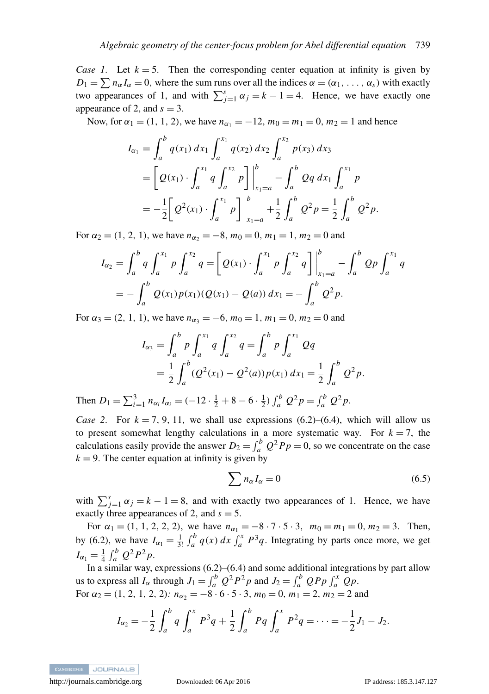*Case 1.* Let  $k = 5$ . Then the corresponding center equation at infinity is given by  $D_1 = \sum n_{\alpha} I_{\alpha} = 0$ , where the sum runs over all the indices  $\alpha = (\alpha_1, \dots, \alpha_s)$  with exactly two appearances of 1, and with  $\sum_{j=1}^{s} \alpha_j = k - 1 = 4$ . Hence, we have exactly one appearance of 2, and  $s = 3$ .

Now, for  $\alpha_1 = (1, 1, 2)$ , we have  $n_{\alpha_1} = -12$ ,  $m_0 = m_1 = 0$ ,  $m_2 = 1$  and hence

<span id="page-26-0"></span>
$$
I_{\alpha_1} = \int_a^b q(x_1) dx_1 \int_a^{x_1} q(x_2) dx_2 \int_a^{x_2} p(x_3) dx_3
$$
  
=  $\left[ Q(x_1) \cdot \int_a^{x_1} q \int_a^{x_2} p \right] \Big|_{x_1=a}^b - \int_a^b Qq dx_1 \int_a^{x_1} p$   
=  $-\frac{1}{2} \left[ Q^2(x_1) \cdot \int_a^{x_1} p \right] \Big|_{x_1=a}^b + \frac{1}{2} \int_a^b Q^2 p = \frac{1}{2} \int_a^b Q^2 p.$ 

For  $\alpha_2 = (1, 2, 1)$ , we have  $n_{\alpha_2} = -8$ ,  $m_0 = 0$ ,  $m_1 = 1$ ,  $m_2 = 0$  and

$$
I_{\alpha_2} = \int_a^b q \int_a^{x_1} p \int_a^{x_2} q = \left[ Q(x_1) \cdot \int_a^{x_1} p \int_a^{x_2} q \right] \Big|_{x_1 = a}^b - \int_a^b Qp \int_a^{x_1} q
$$
  
= 
$$
- \int_a^b Q(x_1) p(x_1) (Q(x_1) - Q(a)) dx_1 = - \int_a^b Q^2 p.
$$

For  $\alpha_3 = (2, 1, 1)$ , we have  $n_{\alpha_3} = -6$ ,  $m_0 = 1$ ,  $m_1 = 0$ ,  $m_2 = 0$  and

$$
I_{\alpha_3} = \int_a^b p \int_a^{x_1} q \int_a^{x_2} q = \int_a^b p \int_a^{x_1} Qq
$$
  
=  $\frac{1}{2} \int_a^b (Q^2(x_1) - Q^2(a)) p(x_1) dx_1 = \frac{1}{2} \int_a^b Q^2 p.$ 

Then  $D_1 = \sum_{i=1}^3 n_{\alpha_i} I_{\alpha_i} = (-12 \cdot \frac{1}{2} + 8 - 6 \cdot \frac{1}{2}) \int_a^b Q^2 p = \int_a^b Q^2 p$ .

*Case 2.* For  $k = 7, 9, 11$ , we shall use expressions [\(6.2\)](#page-25-2)–[\(6.4\)](#page-25-3), which will allow us to present somewhat lengthy calculations in a more systematic way. For  $k = 7$ , the calculations easily provide the answer  $D_2 = \int_a^b Q^2 P_p = 0$ , so we concentrate on the case  $k = 9$ . The center equation at infinity is given by

$$
\sum n_{\alpha} I_{\alpha} = 0 \tag{6.5}
$$

with  $\sum_{j=1}^{s} \alpha_j = k - 1 = 8$ , and with exactly two appearances of 1. Hence, we have exactly three appearances of 2, and *s* = 5.

For  $\alpha_1 = (1, 1, 2, 2, 2)$ , we have  $n_{\alpha_1} = -8 \cdot 7 \cdot 5 \cdot 3$ ,  $m_0 = m_1 = 0$ ,  $m_2 = 3$ . Then, by [\(6.2\)](#page-25-2), we have  $I_{\alpha_1} = \frac{1}{3!} \int_a^b q(x) dx \int_a^x P^3 q$ . Integrating by parts once more, we get  $I_{\alpha_1} = \frac{1}{4} \int_a^b Q^2 P^2 p.$ 

In a similar way, expressions [\(6.2\)](#page-25-2)–[\(6.4\)](#page-25-3) and some additional integrations by part allow us to express all  $I_{\alpha}$  through  $J_1 = \int_a^b Q^2 P^2 p$  and  $J_2 = \int_a^b Q P p \int_a^x Q p$ . For  $\alpha_2 = (1, 2, 1, 2, 2)$ *:*  $n_{\alpha_2} = -8 \cdot 6 \cdot 5 \cdot 3$ ,  $m_0 = 0$ ,  $m_1 = 2$ ,  $m_2 = 2$  and

$$
I_{\alpha_2} = -\frac{1}{2} \int_a^b q \int_a^x P^3 q + \frac{1}{2} \int_a^b P q \int_a^x P^2 q = \cdots = -\frac{1}{2} J_1 - J_2.
$$



<http://journals.cambridge.org> Downloaded: 06 Apr 2016 IP address: 185.3.147.127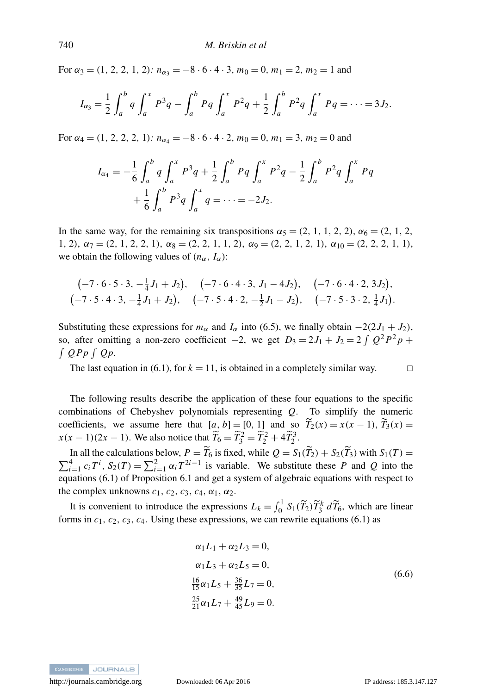For  $\alpha_3 = (1, 2, 2, 1, 2)$ *:*  $n_{\alpha_3} = -8 \cdot 6 \cdot 4 \cdot 3$ ,  $m_0 = 0$ ,  $m_1 = 2$ ,  $m_2 = 1$  and

$$
I_{\alpha_3} = \frac{1}{2} \int_a^b q \int_a^x P^3 q - \int_a^b P q \int_a^x P^2 q + \frac{1}{2} \int_a^b P^2 q \int_a^x P q = \cdots = 3J_2.
$$

For  $\alpha_4 = (1, 2, 2, 2, 1)$ *:*  $n_{\alpha_4} = -8.6 \cdot 4.2$ ,  $m_0 = 0$ ,  $m_1 = 3$ ,  $m_2 = 0$  and

<span id="page-27-0"></span>
$$
I_{\alpha_4} = -\frac{1}{6} \int_a^b q \int_a^x P^3 q + \frac{1}{2} \int_a^b P q \int_a^x P^2 q - \frac{1}{2} \int_a^b P^2 q \int_a^x P q
$$
  
+  $\frac{1}{6} \int_a^b P^3 q \int_a^x q = \dots = -2J_2.$ 

In the same way, for the remaining six transpositions  $\alpha_5 = (2, 1, 1, 2, 2), \alpha_6 = (2, 1, 2, 3)$ 1, 2),  $\alpha_7 = (2, 1, 2, 2, 1), \alpha_8 = (2, 2, 1, 1, 2), \alpha_9 = (2, 2, 1, 2, 1), \alpha_{10} = (2, 2, 2, 1, 1),$ we obtain the following values of  $(n_{\alpha}, I_{\alpha})$ :

$$
(-7 \cdot 6 \cdot 5 \cdot 3, -\frac{1}{4}J_1 + J_2),
$$
  $(-7 \cdot 6 \cdot 4 \cdot 3, J_1 - 4J_2),$   $(-7 \cdot 6 \cdot 4 \cdot 2, 3J_2),$   
 $(-7 \cdot 5 \cdot 4 \cdot 3, -\frac{1}{4}J_1 + J_2),$   $(-7 \cdot 5 \cdot 4 \cdot 2, -\frac{1}{2}J_1 - J_2),$   $(-7 \cdot 5 \cdot 3 \cdot 2, \frac{1}{4}J_1).$ 

Substituting these expressions for  $m_\alpha$  and  $I_\alpha$  into [\(6.5\)](#page-26-0), we finally obtain  $-2(2J_1 + J_2)$ , so, after omitting a non-zero coefficient  $-2$ , we get  $D_3 = 2J_1 + J_2 = 2 \int Q^2 P^2 p +$  $\int QPp \int Qp$ .

The last equation in [\(6.1\)](#page-25-4), for  $k = 11$ , is obtained in a completely similar way.

The following results describe the application of these four equations to the specific combinations of Chebyshev polynomials representing *Q*. To simplify the numeric coefficients, we assume here that  $[a, b] = [0, 1]$  and so  $\tilde{T}_2(x) = x(x - 1), \tilde{T}_3(x) =$  $x(x-1)(2x-1)$ . We also notice that  $\widetilde{T}_6 = \widetilde{T}_3^2 = \widetilde{T}_2^2 + 4\widetilde{T}_2^3$ .

In all the calculations below,  $P = \tilde{T}_6$  is fixed, while  $Q = S_1(\tilde{T}_2) + S_2(\tilde{T}_3)$  with  $S_1(T) = \sum_{i=1}^4 c_i T^i$ ,  $S_2(T) = \sum_{i=1}^2 \alpha_i T^{2i-1}$  is variable. We substitute these P and Q into the equations [\(6.1\)](#page-25-4) of Proposition [6.1](#page-25-0) and get a system of algebraic equations with respect to the complex unknowns  $c_1$ ,  $c_2$ ,  $c_3$ ,  $c_4$ ,  $\alpha_1$ ,  $\alpha_2$ .

It is convenient to introduce the expressions  $L_k = \int_0^1 S_1(\tilde{T}_2) \tilde{T}_3^k d\tilde{T}_6$ , which are linear forms in  $c_1$ ,  $c_2$ ,  $c_3$ ,  $c_4$ . Using these expressions, we can rewrite equations [\(6.1\)](#page-25-4) as

$$
\alpha_1 L_1 + \alpha_2 L_3 = 0,
$$
  
\n
$$
\alpha_1 L_3 + \alpha_2 L_5 = 0,
$$
  
\n
$$
\frac{16}{15} \alpha_1 L_5 + \frac{36}{35} L_7 = 0,
$$
  
\n
$$
\frac{25}{21} \alpha_1 L_7 + \frac{49}{45} L_9 = 0.
$$
\n(6.6)



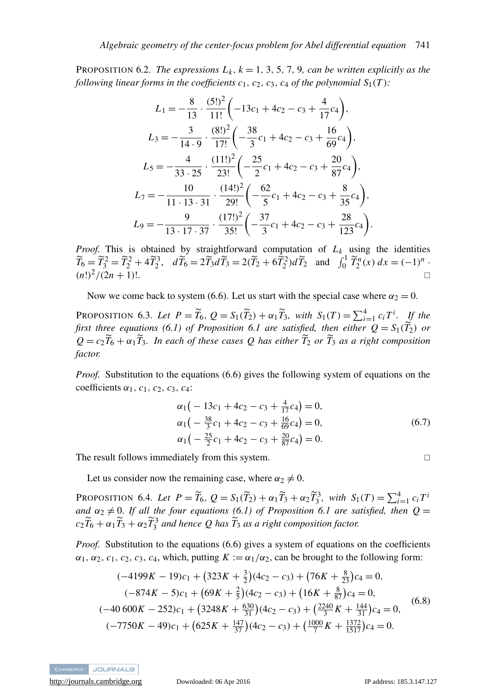PROPOSITION 6.2. *The expressions*  $L_k$ ,  $k = 1, 3, 5, 7, 9$ , can be written explicitly as the *following linear forms in the coefficients*  $c_1$ *,*  $c_2$ *,*  $c_3$ *,*  $c_4$  *of the polynomial*  $S_1(T)$ *:* 

$$
L_1 = -\frac{8}{13} \cdot \frac{(5!)^2}{11!} \left( -13c_1 + 4c_2 - c_3 + \frac{4}{17}c_4 \right),
$$
  
\n
$$
L_3 = -\frac{3}{14 \cdot 9} \cdot \frac{(8!)^2}{17!} \left( -\frac{38}{3}c_1 + 4c_2 - c_3 + \frac{16}{69}c_4 \right),
$$
  
\n
$$
L_5 = -\frac{4}{33 \cdot 25} \cdot \frac{(11!)^2}{23!} \left( -\frac{25}{2}c_1 + 4c_2 - c_3 + \frac{20}{87}c_4 \right),
$$
  
\n
$$
L_7 = -\frac{10}{11 \cdot 13 \cdot 31} \cdot \frac{(14!)^2}{29!} \left( -\frac{62}{5}c_1 + 4c_2 - c_3 + \frac{8}{35}c_4 \right),
$$
  
\n
$$
L_9 = -\frac{9}{13 \cdot 17 \cdot 37} \cdot \frac{(17!)^2}{35!} \left( -\frac{37}{3}c_1 + 4c_2 - c_3 + \frac{28}{123}c_4 \right).
$$

*Proof.* This is obtained by straightforward computation of *L<sup>k</sup>* using the identities  $\widetilde{T}_6 = \widetilde{T}_2^2 = \widetilde{T}_2^2 + 4\widetilde{T}_2^3$ ,  $d\widetilde{T}_6 = 2\widetilde{T}_3d\widetilde{T}_3 = 2(\widetilde{T}_2 + 6\widetilde{T}_2^2)d\widetilde{T}_2$  and  $\int_0^1 \widetilde{T}_2^n(x) dx = (-1)^n$ .  $(n!)^2/(2n+1)!$ .

Now we come back to system [\(6.6\)](#page-27-0). Let us start with the special case where  $\alpha_2 = 0$ .

PROPOSITION 6.3. Let  $P = \widetilde{T}_6$ ,  $Q = S_1(\widetilde{T}_2) + \alpha_1 \widetilde{T}_3$ , with  $S_1(T) = \sum_{i=1}^4 c_i T^i$ . If the *first three equations* [\(6.1\)](#page-25-4) *of Proposition* [6.1](#page-25-0) *are satisfied, then either*  $Q = S_1(\widetilde{T}_2)$  *or*  $Q = c_2 \widetilde{T}_6 + \alpha_1 \widetilde{T}_3$ *. In each of these cases Q has either*  $\widetilde{T}_2$  *or*  $\widetilde{T}_3$  *as a right composition factor.*

*Proof.* Substitution to the equations [\(6.6\)](#page-27-0) gives the following system of equations on the coefficients  $\alpha_1$ ,  $c_1$ ,  $c_2$ ,  $c_3$ ,  $c_4$ :

$$
\alpha_1 \left( -13c_1 + 4c_2 - c_3 + \frac{4}{17}c_4 \right) = 0,\n\alpha_1 \left( -\frac{38}{3}c_1 + 4c_2 - c_3 + \frac{16}{69}c_4 \right) = 0,\n\alpha_1 \left( -\frac{25}{2}c_1 + 4c_2 - c_3 + \frac{20}{87}c_4 \right) = 0.
$$
\n(6.7)

The result follows immediately from this system.  $\Box$ 

Let us consider now the remaining case, where  $\alpha_2 \neq 0$ .

**PROPOSITION 6.4.** *Let P* =  $\widetilde{T}_6$ ,  $Q = S_1(\widetilde{T}_2) + \alpha_1 \widetilde{T}_3 + \alpha_2 \widetilde{T}_3^3$ , with  $S_1(T) = \sum_{i=1}^4 c_i T^i$ *and*  $\alpha_2 \neq 0$ . *If all the four equations* [\(6.1\)](#page-25-4) *of Proposition* [6.1](#page-25-0) *are satisfied, then*  $Q =$  $c_2\widetilde{T}_6 + \alpha_1\widetilde{T}_3 + \alpha_2\widetilde{T}_3^3$  and hence  $Q$  has  $\widetilde{T}_3$  as a right composition factor.

*Proof.* Substitution to the equations [\(6.6\)](#page-27-0) gives a system of equations on the coefficients  $\alpha_1, \alpha_2, c_1, c_2, c_3, c_4$ , which, putting  $K := \alpha_1/\alpha_2$ , can be brought to the following form:

$$
(-4199K - 19)c_1 + (323K + \frac{3}{2})(4c_2 - c_3) + (76K + \frac{8}{23})c_4 = 0,
$$
  
\n
$$
(-874K - 5)c_1 + (69K + \frac{2}{5})(4c_2 - c_3) + (16K + \frac{8}{87})c_4 = 0,
$$
  
\n
$$
(-40600K - 252)c_1 + (3248K + \frac{630}{31})(4c_2 - c_3) + (\frac{2240}{3}K + \frac{144}{31})c_4 = 0,
$$
  
\n
$$
(-7750K - 49)c_1 + (625K + \frac{147}{37})(4c_2 - c_3) + (\frac{1000}{7}K + \frac{1372}{1517})c_4 = 0.
$$
\n(6.8)



<span id="page-28-0"></span>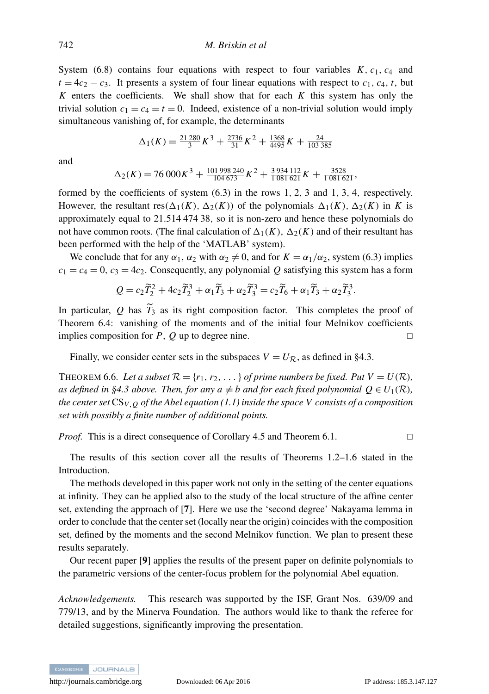System [\(6.8\)](#page-28-0) contains four equations with respect to four variables  $K$ ,  $c_1$ ,  $c_4$  and  $t = 4c_2 - c_3$ . It presents a system of four linear equations with respect to  $c_1$ ,  $c_4$ ,  $t$ , but  $K$  enters the coefficients. We shall show that for each  $K$  this system has only the trivial solution  $c_1 = c_4 = t = 0$ . Indeed, existence of a non-trivial solution would imply simultaneous vanishing of, for example, the determinants

$$
\Delta_1(K) = \frac{21\,280}{3}K^3 + \frac{2736}{31}K^2 + \frac{1368}{4495}K + \frac{24}{103\,385}
$$

and

$$
\Delta_2(K) = 76\,000K^3 + \frac{101\,998\,240}{104\,673}K^2 + \frac{3\,934\,112}{1\,081\,621}K + \frac{3528}{1\,081\,621},
$$

formed by the coefficients of system  $(6.3)$  in the rows 1, 2, 3 and 1, 3, 4, respectively. However, the resultant res( $\Delta_1(K)$ ,  $\Delta_2(K)$ ) of the polynomials  $\Delta_1(K)$ ,  $\Delta_2(K)$  in *K* is approximately equal to 21.514 474 38, so it is non-zero and hence these polynomials do not have common roots. (The final calculation of  $\Delta_1(K)$ ,  $\Delta_2(K)$  and of their resultant has been performed with the help of the 'MATLAB' system).

We conclude that for any  $\alpha_1$ ,  $\alpha_2$  with  $\alpha_2 \neq 0$ , and for  $K = \alpha_1/\alpha_2$ , system [\(6.3\)](#page-25-5) implies  $c_1 = c_4 = 0$ ,  $c_3 = 4c_2$ . Consequently, any polynomial *Q* satisfying this system has a form

$$
Q = c_2 \widetilde{T}_2^2 + 4c_2 \widetilde{T}_2^3 + \alpha_1 \widetilde{T}_3 + \alpha_2 \widetilde{T}_3^3 = c_2 \widetilde{T}_6 + \alpha_1 \widetilde{T}_3 + \alpha_2 \widetilde{T}_3^3.
$$

In particular,  $Q$  has  $\widetilde{T}_3$  as its right composition factor. This completes the proof of Theorem [6.4:](#page-25-1) vanishing of the moments and of the initial four Melnikov coefficients implies composition for *P*, *Q* up to degree nine.

Finally, we consider center sets in the subspaces  $V = U_{\mathcal{R}}$ , as defined in [§4.3.](#page-21-1)

<span id="page-29-0"></span>THEOREM 6.6. Let a subset  $\mathcal{R} = \{r_1, r_2, \ldots\}$  of prime numbers be fixed. Put  $V = U(\mathcal{R})$ , *as defined in [§4.3](#page-21-1) above. Then, for any*  $a \neq b$  *and for each fixed polynomial*  $Q \in U_1(\mathcal{R})$ *, the center set* CS*V*,*<sup>Q</sup> of the Abel equation [\(1.1\)](#page-2-0) inside the space V consists of a composition set with possibly a finite number of additional points.*

*Proof.* This is a direct consequence of Corollary [4.5](#page-22-2) and Theorem [6.1.](#page-23-1) □

The results of this section cover all the results of Theorems [1.2–](#page-5-0)[1.6](#page-6-3) stated in the Introduction.

The methods developed in this paper work not only in the setting of the center equations at infinity. They can be applied also to the study of the local structure of the affine center set, extending the approach of [[7](#page-30-17)]. Here we use the 'second degree' Nakayama lemma in order to conclude that the center set (locally near the origin) coincides with the composition set, defined by the moments and the second Melnikov function. We plan to present these results separately.

Our recent paper [[9](#page-30-15)] applies the results of the present paper on definite polynomials to the parametric versions of the center-focus problem for the polynomial Abel equation.

*Acknowledgements.* This research was supported by the ISF, Grant Nos. 639/09 and 779/13, and by the Minerva Foundation. The authors would like to thank the referee for detailed suggestions, significantly improving the presentation.

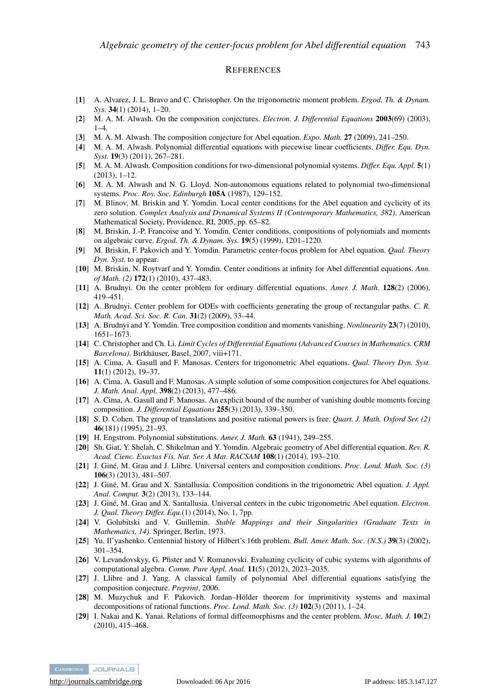#### **REFERENCES**

- <span id="page-30-0"></span>[1] A. Alvarez, J. L. Bravo and C. Christopher. On the trigonometric moment problem. *Ergod. Th. & Dynam. Sys.* 34(1) (2014), 1–20.
- [2] M. A. M. Alwash. On the composition conjectures. *Electron. J. Differential Equations* 2003(69) (2003),  $1-4$ .
- <span id="page-30-16"></span>[3] M. A. M. Alwash. The composition conjecture for Abel equation. *Expo. Math.* 27 (2009), 241–250.
- <span id="page-30-1"></span>[4] M. A. M. Alwash. Polynomial differential equations with piecewise linear coefficients. *Differ. Equ. Dyn. Syst.* 19(3) (2011), 267–281.
- [5] M. A. M. Alwash. Composition conditions for two-dimensional polynomial systems. *Differ. Equ. Appl.* 5(1) (2013), 1–12.
- <span id="page-30-2"></span>[6] M. A. M. Alwash and N. G. Lloyd. Non-autonomous equations related to polynomial two-dimensional systems. *Proc. Roy. Soc. Edinburgh* 105A (1987), 129–152.
- <span id="page-30-17"></span>[7] M. Blinov, M. Briskin and Y. Yomdin. Local center conditions for the Abel equation and cyclicity of its zero solution. *Complex Analysis and Dynamical Systems II (Contemporary Mathematics, 382)*. American Mathematical Society, Providence, RI, 2005, pp. 65–82.
- <span id="page-30-20"></span>[8] M. Briskin, J.-P. Francoise and Y. Yomdin. Center conditions, compositions of polynomials and moments on algebraic curve. *Ergod. Th. & Dynam. Sys.* 19(5) (1999), 1201–1220.
- <span id="page-30-15"></span>[9] M. Briskin, F. Pakovich and Y. Yomdin. Parametric center-focus problem for Abel equation. *Qual. Theory Dyn. Syst.* to appear.
- <span id="page-30-9"></span>[10] M. Briskin, N. Roytvarf and Y. Yomdin. Center conditions at infinity for Abel differential equations. *Ann. of Math. (2)* 172(1) (2010), 437–483.
- <span id="page-30-3"></span>[11] A. Brudnyi. On the center problem for ordinary differential equations. Amer. J. Math. 128(2) (2006), 419–451.
- <span id="page-30-4"></span>[12] A. Brudnyi. Center problem for ODEs with coefficients generating the group of rectangular paths. *C. R. Math. Acad. Sci. Soc. R. Can.* 31(2) (2009), 33–44.
- <span id="page-30-18"></span>[13] A. Brudnyi and Y. Yomdin. Tree composition condition and moments vanishing. *Nonlinearity* 23(7) (2010), 1651–1673.
- <span id="page-30-10"></span>[14] C. Christopher and Ch. Li. *Limit Cycles of Differential Equations (Advanced Courses in Mathematics. CRM Barcelona)*. Birkhauser, Basel, 2007, viii+171. ¨
- <span id="page-30-5"></span>[15] A. Cima, A. Gasull and F. Manosas. Centers for trigonometric Abel equations. *Qual. Theory Dyn. Syst.* 11(1) (2012), 19–37.
- <span id="page-30-19"></span>[16] A. Cima, A. Gasull and F. Manosas. A simple solution of some composition conjectures for Abel equations. *J. Math. Anal. Appl.* 398(2) (2013), 477–486.
- <span id="page-30-6"></span>[17] A. Cima, A. Gasull and F. Manosas. An explicit bound of the number of vanishing double moments forcing composition. *J. Differential Equations* 255(3) (2013), 339–350.
- <span id="page-30-22"></span>[18] S. D. Cohen. The group of translations and positive rational powers is free. *Quart. J. Math. Oxford Ser. (2)* 46(181) (1995), 21–93.
- <span id="page-30-23"></span>[19] H. Engstrom. Polynomial substitutions. *Amer. J. Math.* 63 (1941), 249–255.
- <span id="page-30-13"></span>[20] Sh. Giat, Y. Shelah, C. Shikelman and Y. Yomdin. Algebraic geometry of Abel differential equation. *Rev. R. Acad. Cienc. Exactas Fís. Nat. Ser. A Mat. RACSAM* 108(1) (2014), 193–210.
- <span id="page-30-7"></span>[21] J. Giné, M. Grau and J. Llibre. Universal centers and composition conditions. *Proc. Lond. Math. Soc.* (3) 106(3) (2013), 481–507.
- [22] J. Giné, M. Grau and X. Santallusia. Composition conditions in the trigonometric Abel equation. *J. Appl. Anal. Comput.* 3(2) (2013), 133–144.
- <span id="page-30-8"></span>[23] J. Giné, M. Grau and X. Santallusia. Universal centers in the cubic trigonometric Abel equation. *Electron*. *J. Qual. Theory Differ. Equ.*(1) (2014), No. 1, 7pp.
- <span id="page-30-25"></span>[24] V. Golubitski and V. Guillemin. *Stable Mappings and their Singularities (Graduate Texts in Mathematics, 14)*. Springer, Berlin, 1973.
- <span id="page-30-11"></span>[25] Yu. Il'yashenko. Centennial history of Hilbert's 16th problem. *Bull. Amer. Math. Soc. (N.S.)* 39(3) (2002), 301–354.
- <span id="page-30-12"></span>[26] V. Levandovskyy, G. Pfister and V. Romanovski. Evaluating cyclicity of cubic systems with algorithms of computational algebra. *Comm. Pure Appl. Anal.* 11(5) (2012), 2023–2035.
- <span id="page-30-21"></span>[27] J. Llibre and J. Yang. A classical family of polynomial Abel differential equations satisfying the composition conjecture. *Preprint*, 2006.
- <span id="page-30-24"></span>[28] M. Muzychuk and F. Pakovich. Jordan–Hölder theorem for imprimitivity systems and maximal decompositions of rational functions. *Proc. Lond. Math. Soc. (3)* 102(3) (2011), 1–24.
- <span id="page-30-14"></span>[29] I. Nakai and K. Yanai. Relations of formal diffeomorphisms and the center problem. *Mosc. Math. J.* 10(2) (2010), 415–468.